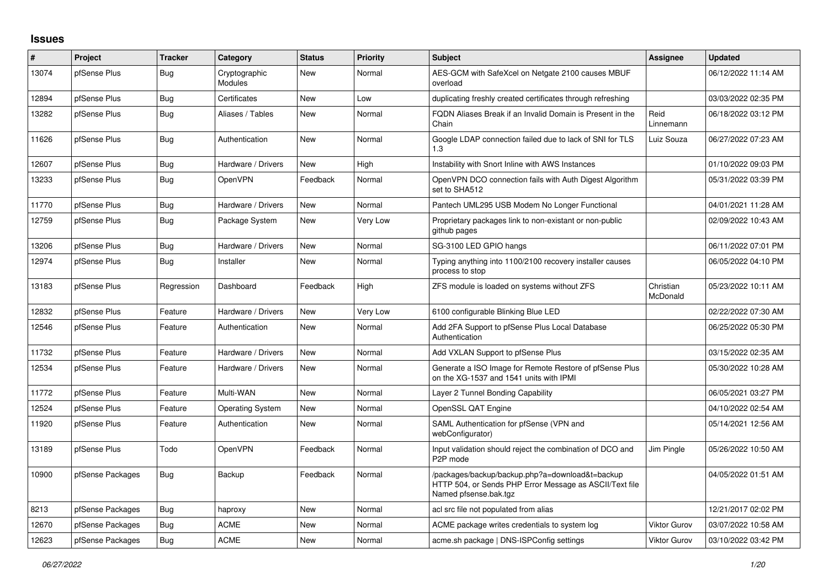## **Issues**

| #     | Project          | <b>Tracker</b> | Category                 | <b>Status</b> | <b>Priority</b> | <b>Subject</b>                                                                                                                      | <b>Assignee</b>       | <b>Updated</b>      |
|-------|------------------|----------------|--------------------------|---------------|-----------------|-------------------------------------------------------------------------------------------------------------------------------------|-----------------------|---------------------|
| 13074 | pfSense Plus     | Bug            | Cryptographic<br>Modules | New           | Normal          | AES-GCM with SafeXcel on Netgate 2100 causes MBUF<br>overload                                                                       |                       | 06/12/2022 11:14 AM |
| 12894 | pfSense Plus     | Bug            | Certificates             | <b>New</b>    | Low             | duplicating freshly created certificates through refreshing                                                                         |                       | 03/03/2022 02:35 PM |
| 13282 | pfSense Plus     | Bug            | Aliases / Tables         | <b>New</b>    | Normal          | FQDN Aliases Break if an Invalid Domain is Present in the<br>Chain                                                                  | Reid<br>Linnemann     | 06/18/2022 03:12 PM |
| 11626 | pfSense Plus     | Bug            | Authentication           | <b>New</b>    | Normal          | Google LDAP connection failed due to lack of SNI for TLS<br>1.3                                                                     | Luiz Souza            | 06/27/2022 07:23 AM |
| 12607 | pfSense Plus     | Bug            | Hardware / Drivers       | <b>New</b>    | High            | Instability with Snort Inline with AWS Instances                                                                                    |                       | 01/10/2022 09:03 PM |
| 13233 | pfSense Plus     | <b>Bug</b>     | OpenVPN                  | Feedback      | Normal          | OpenVPN DCO connection fails with Auth Digest Algorithm<br>set to SHA512                                                            |                       | 05/31/2022 03:39 PM |
| 11770 | pfSense Plus     | Bug            | Hardware / Drivers       | <b>New</b>    | Normal          | Pantech UML295 USB Modem No Longer Functional                                                                                       |                       | 04/01/2021 11:28 AM |
| 12759 | pfSense Plus     | Bug            | Package System           | New           | Very Low        | Proprietary packages link to non-existant or non-public<br>github pages                                                             |                       | 02/09/2022 10:43 AM |
| 13206 | pfSense Plus     | Bug            | Hardware / Drivers       | <b>New</b>    | Normal          | SG-3100 LED GPIO hangs                                                                                                              |                       | 06/11/2022 07:01 PM |
| 12974 | pfSense Plus     | Bug            | Installer                | <b>New</b>    | Normal          | Typing anything into 1100/2100 recovery installer causes<br>process to stop                                                         |                       | 06/05/2022 04:10 PM |
| 13183 | pfSense Plus     | Regression     | Dashboard                | Feedback      | High            | ZFS module is loaded on systems without ZFS                                                                                         | Christian<br>McDonald | 05/23/2022 10:11 AM |
| 12832 | pfSense Plus     | Feature        | Hardware / Drivers       | <b>New</b>    | Very Low        | 6100 configurable Blinking Blue LED                                                                                                 |                       | 02/22/2022 07:30 AM |
| 12546 | pfSense Plus     | Feature        | Authentication           | <b>New</b>    | Normal          | Add 2FA Support to pfSense Plus Local Database<br>Authentication                                                                    |                       | 06/25/2022 05:30 PM |
| 11732 | pfSense Plus     | Feature        | Hardware / Drivers       | <b>New</b>    | Normal          | Add VXLAN Support to pfSense Plus                                                                                                   |                       | 03/15/2022 02:35 AM |
| 12534 | pfSense Plus     | Feature        | Hardware / Drivers       | <b>New</b>    | Normal          | Generate a ISO Image for Remote Restore of pfSense Plus<br>on the XG-1537 and 1541 units with IPMI                                  |                       | 05/30/2022 10:28 AM |
| 11772 | pfSense Plus     | Feature        | Multi-WAN                | <b>New</b>    | Normal          | Layer 2 Tunnel Bonding Capability                                                                                                   |                       | 06/05/2021 03:27 PM |
| 12524 | pfSense Plus     | Feature        | Operating System         | <b>New</b>    | Normal          | OpenSSL QAT Engine                                                                                                                  |                       | 04/10/2022 02:54 AM |
| 11920 | pfSense Plus     | Feature        | Authentication           | <b>New</b>    | Normal          | SAML Authentication for pfSense (VPN and<br>webConfigurator)                                                                        |                       | 05/14/2021 12:56 AM |
| 13189 | pfSense Plus     | Todo           | OpenVPN                  | Feedback      | Normal          | Input validation should reject the combination of DCO and<br>P <sub>2</sub> P mode                                                  | Jim Pingle            | 05/26/2022 10:50 AM |
| 10900 | pfSense Packages | <b>Bug</b>     | Backup                   | Feedback      | Normal          | /packages/backup/backup.php?a=download&t=backup<br>HTTP 504, or Sends PHP Error Message as ASCII/Text file<br>Named pfsense.bak.tgz |                       | 04/05/2022 01:51 AM |
| 8213  | pfSense Packages | Bug            | haproxy                  | <b>New</b>    | Normal          | acl src file not populated from alias                                                                                               |                       | 12/21/2017 02:02 PM |
| 12670 | pfSense Packages | Bug            | <b>ACME</b>              | <b>New</b>    | Normal          | ACME package writes credentials to system log                                                                                       | <b>Viktor Gurov</b>   | 03/07/2022 10:58 AM |
| 12623 | pfSense Packages | Bug            | <b>ACME</b>              | New           | Normal          | acme.sh package   DNS-ISPConfig settings                                                                                            | Viktor Gurov          | 03/10/2022 03:42 PM |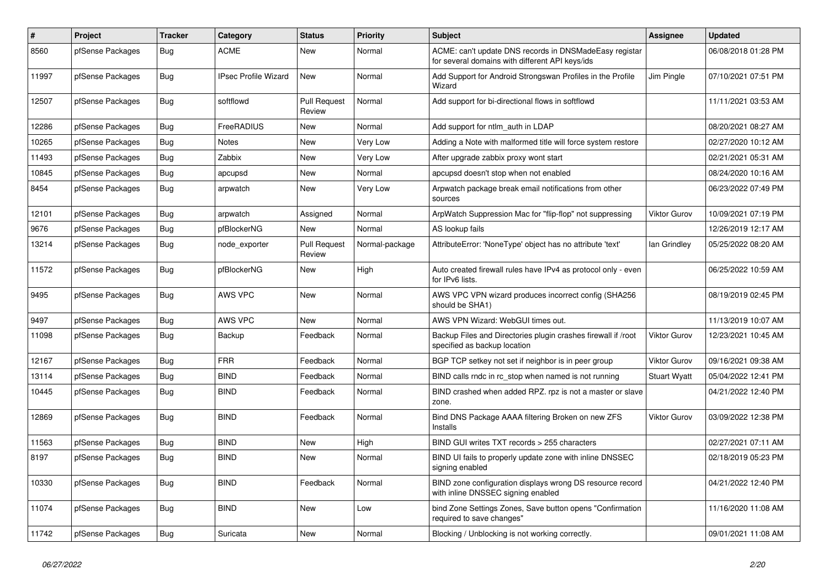| #     | <b>Project</b>   | <b>Tracker</b> | Category                    | <b>Status</b>                 | <b>Priority</b> | <b>Subject</b>                                                                                            | Assignee            | <b>Updated</b>      |
|-------|------------------|----------------|-----------------------------|-------------------------------|-----------------|-----------------------------------------------------------------------------------------------------------|---------------------|---------------------|
| 8560  | pfSense Packages | Bug            | <b>ACME</b>                 | New                           | Normal          | ACME: can't update DNS records in DNSMadeEasy registar<br>for several domains with different API keys/ids |                     | 06/08/2018 01:28 PM |
| 11997 | pfSense Packages | Bug            | <b>IPsec Profile Wizard</b> | <b>New</b>                    | Normal          | Add Support for Android Strongswan Profiles in the Profile<br>Wizard                                      | Jim Pingle          | 07/10/2021 07:51 PM |
| 12507 | pfSense Packages | <b>Bug</b>     | softflowd                   | <b>Pull Request</b><br>Review | Normal          | Add support for bi-directional flows in softflowd                                                         |                     | 11/11/2021 03:53 AM |
| 12286 | pfSense Packages | Bug            | FreeRADIUS                  | New                           | Normal          | Add support for ntlm auth in LDAP                                                                         |                     | 08/20/2021 08:27 AM |
| 10265 | pfSense Packages | Bug            | <b>Notes</b>                | New                           | Very Low        | Adding a Note with malformed title will force system restore                                              |                     | 02/27/2020 10:12 AM |
| 11493 | pfSense Packages | <b>Bug</b>     | Zabbix                      | New                           | Very Low        | After upgrade zabbix proxy wont start                                                                     |                     | 02/21/2021 05:31 AM |
| 10845 | pfSense Packages | Bug            | apcupsd                     | New                           | Normal          | apcupsd doesn't stop when not enabled                                                                     |                     | 08/24/2020 10:16 AM |
| 8454  | pfSense Packages | Bug            | arpwatch                    | New                           | Very Low        | Arpwatch package break email notifications from other<br>sources                                          |                     | 06/23/2022 07:49 PM |
| 12101 | pfSense Packages | Bug            | arpwatch                    | Assigned                      | Normal          | ArpWatch Suppression Mac for "flip-flop" not suppressing                                                  | Viktor Gurov        | 10/09/2021 07:19 PM |
| 9676  | pfSense Packages | <b>Bug</b>     | pfBlockerNG                 | New                           | Normal          | AS lookup fails                                                                                           |                     | 12/26/2019 12:17 AM |
| 13214 | pfSense Packages | Bug            | node exporter               | <b>Pull Request</b><br>Review | Normal-package  | AttributeError: 'NoneType' object has no attribute 'text'                                                 | lan Grindley        | 05/25/2022 08:20 AM |
| 11572 | pfSense Packages | Bug            | pfBlockerNG                 | New                           | High            | Auto created firewall rules have IPv4 as protocol only - even<br>for IPv6 lists.                          |                     | 06/25/2022 10:59 AM |
| 9495  | pfSense Packages | Bug            | <b>AWS VPC</b>              | New                           | Normal          | AWS VPC VPN wizard produces incorrect config (SHA256<br>should be SHA1)                                   |                     | 08/19/2019 02:45 PM |
| 9497  | pfSense Packages | Bug            | AWS VPC                     | <b>New</b>                    | Normal          | AWS VPN Wizard: WebGUI times out.                                                                         |                     | 11/13/2019 10:07 AM |
| 11098 | pfSense Packages | <b>Bug</b>     | Backup                      | Feedback                      | Normal          | Backup Files and Directories plugin crashes firewall if /root<br>specified as backup location             | <b>Viktor Gurov</b> | 12/23/2021 10:45 AM |
| 12167 | pfSense Packages | Bug            | <b>FRR</b>                  | Feedback                      | Normal          | BGP TCP setkey not set if neighbor is in peer group                                                       | <b>Viktor Gurov</b> | 09/16/2021 09:38 AM |
| 13114 | pfSense Packages | Bug            | <b>BIND</b>                 | Feedback                      | Normal          | BIND calls rndc in rc stop when named is not running                                                      | <b>Stuart Wyatt</b> | 05/04/2022 12:41 PM |
| 10445 | pfSense Packages | Bug            | <b>BIND</b>                 | Feedback                      | Normal          | BIND crashed when added RPZ. rpz is not a master or slave<br>zone.                                        |                     | 04/21/2022 12:40 PM |
| 12869 | pfSense Packages | Bug            | <b>BIND</b>                 | Feedback                      | Normal          | Bind DNS Package AAAA filtering Broken on new ZFS<br>Installs                                             | Viktor Gurov        | 03/09/2022 12:38 PM |
| 11563 | pfSense Packages | <b>Bug</b>     | <b>BIND</b>                 | <b>New</b>                    | High            | BIND GUI writes TXT records > 255 characters                                                              |                     | 02/27/2021 07:11 AM |
| 8197  | pfSense Packages | Bug            | <b>BIND</b>                 | <b>New</b>                    | Normal          | BIND UI fails to properly update zone with inline DNSSEC<br>signing enabled                               |                     | 02/18/2019 05:23 PM |
| 10330 | pfSense Packages | Bug            | <b>BIND</b>                 | Feedback                      | Normal          | BIND zone configuration displays wrong DS resource record<br>with inline DNSSEC signing enabled           |                     | 04/21/2022 12:40 PM |
| 11074 | pfSense Packages | Bug            | <b>BIND</b>                 | New                           | Low             | bind Zone Settings Zones, Save button opens "Confirmation<br>required to save changes"                    |                     | 11/16/2020 11:08 AM |
| 11742 | pfSense Packages | <b>Bug</b>     | Suricata                    | <b>New</b>                    | Normal          | Blocking / Unblocking is not working correctly.                                                           |                     | 09/01/2021 11:08 AM |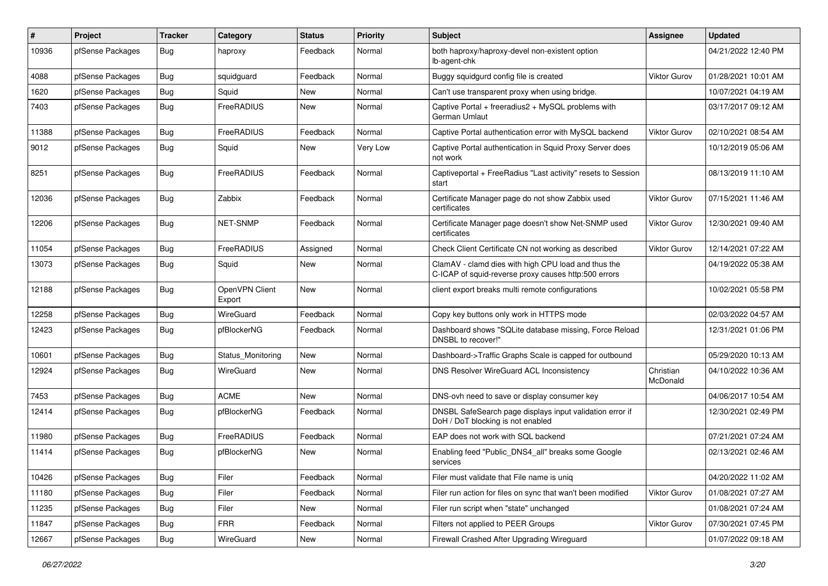| #     | Project          | <b>Tracker</b> | Category                 | <b>Status</b> | <b>Priority</b> | <b>Subject</b>                                                                                              | Assignee              | <b>Updated</b>      |
|-------|------------------|----------------|--------------------------|---------------|-----------------|-------------------------------------------------------------------------------------------------------------|-----------------------|---------------------|
| 10936 | pfSense Packages | Bug            | haproxy                  | Feedback      | Normal          | both haproxy/haproxy-devel non-existent option<br>lb-agent-chk                                              |                       | 04/21/2022 12:40 PM |
| 4088  | pfSense Packages | Bug            | squidguard               | Feedback      | Normal          | Buggy squidgurd config file is created                                                                      | <b>Viktor Gurov</b>   | 01/28/2021 10:01 AM |
| 1620  | pfSense Packages | Bug            | Squid                    | New           | Normal          | Can't use transparent proxy when using bridge.                                                              |                       | 10/07/2021 04:19 AM |
| 7403  | pfSense Packages | Bug            | FreeRADIUS               | New           | Normal          | Captive Portal + freeradius2 + MySQL problems with<br>German Umlaut                                         |                       | 03/17/2017 09:12 AM |
| 11388 | pfSense Packages | Bug            | FreeRADIUS               | Feedback      | Normal          | Captive Portal authentication error with MySQL backend                                                      | <b>Viktor Gurov</b>   | 02/10/2021 08:54 AM |
| 9012  | pfSense Packages | <b>Bug</b>     | Squid                    | New           | Very Low        | Captive Portal authentication in Squid Proxy Server does<br>not work                                        |                       | 10/12/2019 05:06 AM |
| 8251  | pfSense Packages | Bug            | FreeRADIUS               | Feedback      | Normal          | Captiveportal + FreeRadius "Last activity" resets to Session<br>start                                       |                       | 08/13/2019 11:10 AM |
| 12036 | pfSense Packages | Bug            | Zabbix                   | Feedback      | Normal          | Certificate Manager page do not show Zabbix used<br>certificates                                            | <b>Viktor Gurov</b>   | 07/15/2021 11:46 AM |
| 12206 | pfSense Packages | Bug            | <b>NET-SNMP</b>          | Feedback      | Normal          | Certificate Manager page doesn't show Net-SNMP used<br>certificates                                         | <b>Viktor Gurov</b>   | 12/30/2021 09:40 AM |
| 11054 | pfSense Packages | Bug            | FreeRADIUS               | Assigned      | Normal          | Check Client Certificate CN not working as described                                                        | Viktor Gurov          | 12/14/2021 07:22 AM |
| 13073 | pfSense Packages | <b>Bug</b>     | Squid                    | New           | Normal          | ClamAV - clamd dies with high CPU load and thus the<br>C-ICAP of squid-reverse proxy causes http:500 errors |                       | 04/19/2022 05:38 AM |
| 12188 | pfSense Packages | Bug            | OpenVPN Client<br>Export | New           | Normal          | client export breaks multi remote configurations                                                            |                       | 10/02/2021 05:58 PM |
| 12258 | pfSense Packages | Bug            | <b>WireGuard</b>         | Feedback      | Normal          | Copy key buttons only work in HTTPS mode                                                                    |                       | 02/03/2022 04:57 AM |
| 12423 | pfSense Packages | Bug            | pfBlockerNG              | Feedback      | Normal          | Dashboard shows "SQLite database missing, Force Reload<br>DNSBL to recover!"                                |                       | 12/31/2021 01:06 PM |
| 10601 | pfSense Packages | Bug            | Status Monitoring        | New           | Normal          | Dashboard->Traffic Graphs Scale is capped for outbound                                                      |                       | 05/29/2020 10:13 AM |
| 12924 | pfSense Packages | <b>Bug</b>     | WireGuard                | New           | Normal          | DNS Resolver WireGuard ACL Inconsistency                                                                    | Christian<br>McDonald | 04/10/2022 10:36 AM |
| 7453  | pfSense Packages | Bug            | <b>ACME</b>              | <b>New</b>    | Normal          | DNS-ovh need to save or display consumer key                                                                |                       | 04/06/2017 10:54 AM |
| 12414 | pfSense Packages | <b>Bug</b>     | pfBlockerNG              | Feedback      | Normal          | DNSBL SafeSearch page displays input validation error if<br>DoH / DoT blocking is not enabled               |                       | 12/30/2021 02:49 PM |
| 11980 | pfSense Packages | <b>Bug</b>     | FreeRADIUS               | Feedback      | Normal          | EAP does not work with SQL backend                                                                          |                       | 07/21/2021 07:24 AM |
| 11414 | pfSense Packages | <b>Bug</b>     | pfBlockerNG              | New           | Normal          | Enabling feed "Public DNS4 all" breaks some Google<br>services                                              |                       | 02/13/2021 02:46 AM |
| 10426 | pfSense Packages | Bug            | Filer                    | Feedback      | Normal          | Filer must validate that File name is uniq                                                                  |                       | 04/20/2022 11:02 AM |
| 11180 | pfSense Packages | Bug            | Filer                    | Feedback      | Normal          | Filer run action for files on sync that wan't been modified                                                 | <b>Viktor Gurov</b>   | 01/08/2021 07:27 AM |
| 11235 | pfSense Packages | <b>Bug</b>     | Filer                    | New           | Normal          | Filer run script when "state" unchanged                                                                     |                       | 01/08/2021 07:24 AM |
| 11847 | pfSense Packages | Bug            | <b>FRR</b>               | Feedback      | Normal          | Filters not applied to PEER Groups                                                                          | Viktor Gurov          | 07/30/2021 07:45 PM |
| 12667 | pfSense Packages | Bug            | WireGuard                | New           | Normal          | Firewall Crashed After Upgrading Wireguard                                                                  |                       | 01/07/2022 09:18 AM |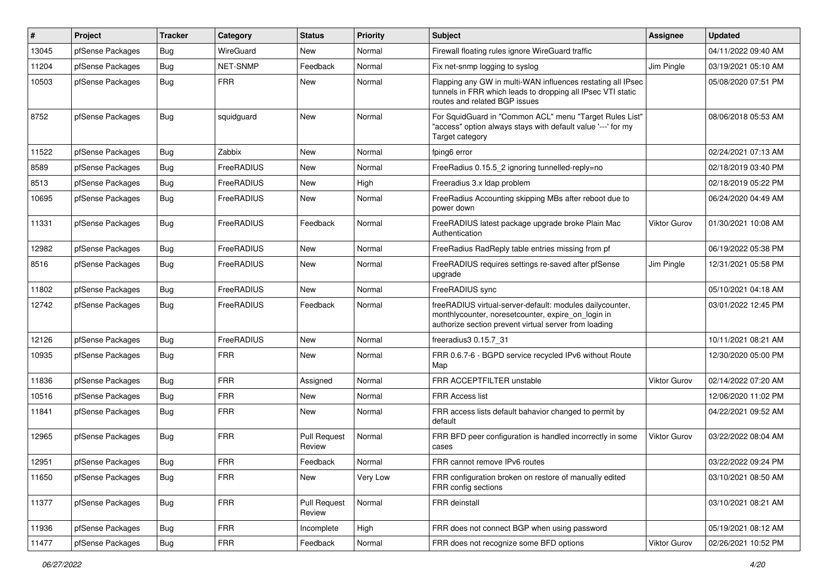| #     | Project          | Tracker    | Category   | <b>Status</b>                 | <b>Priority</b> | <b>Subject</b>                                                                                                                                                          | <b>Assignee</b>     | <b>Updated</b>      |
|-------|------------------|------------|------------|-------------------------------|-----------------|-------------------------------------------------------------------------------------------------------------------------------------------------------------------------|---------------------|---------------------|
| 13045 | pfSense Packages | <b>Bug</b> | WireGuard  | New                           | Normal          | Firewall floating rules ignore WireGuard traffic                                                                                                                        |                     | 04/11/2022 09:40 AM |
| 11204 | pfSense Packages | <b>Bug</b> | NET-SNMP   | Feedback                      | Normal          | Fix net-snmp logging to syslog                                                                                                                                          | Jim Pingle          | 03/19/2021 05:10 AM |
| 10503 | pfSense Packages | Bug        | <b>FRR</b> | New                           | Normal          | Flapping any GW in multi-WAN influences restating all IPsec<br>tunnels in FRR which leads to dropping all IPsec VTI static<br>routes and related BGP issues             |                     | 05/08/2020 07:51 PM |
| 8752  | pfSense Packages | Bug        | squidguard | <b>New</b>                    | Normal          | For SquidGuard in "Common ACL" menu "Target Rules List"<br>"access" option always stays with default value '---' for my<br>Target category                              |                     | 08/06/2018 05:53 AM |
| 11522 | pfSense Packages | Bug        | Zabbix     | <b>New</b>                    | Normal          | fping6 error                                                                                                                                                            |                     | 02/24/2021 07:13 AM |
| 8589  | pfSense Packages | Bug        | FreeRADIUS | New                           | Normal          | FreeRadius 0.15.5_2 ignoring tunnelled-reply=no                                                                                                                         |                     | 02/18/2019 03:40 PM |
| 8513  | pfSense Packages | Bug        | FreeRADIUS | New                           | High            | Freeradius 3.x Idap problem                                                                                                                                             |                     | 02/18/2019 05:22 PM |
| 10695 | pfSense Packages | <b>Bug</b> | FreeRADIUS | New                           | Normal          | FreeRadius Accounting skipping MBs after reboot due to<br>power down                                                                                                    |                     | 06/24/2020 04:49 AM |
| 11331 | pfSense Packages | Bug        | FreeRADIUS | Feedback                      | Normal          | FreeRADIUS latest package upgrade broke Plain Mac<br>Authentication                                                                                                     | <b>Viktor Gurov</b> | 01/30/2021 10:08 AM |
| 12982 | pfSense Packages | <b>Bug</b> | FreeRADIUS | <b>New</b>                    | Normal          | FreeRadius RadReply table entries missing from pf                                                                                                                       |                     | 06/19/2022 05:38 PM |
| 8516  | pfSense Packages | Bug        | FreeRADIUS | New                           | Normal          | FreeRADIUS requires settings re-saved after pfSense<br>upgrade                                                                                                          | Jim Pingle          | 12/31/2021 05:58 PM |
| 11802 | pfSense Packages | Bug        | FreeRADIUS | <b>New</b>                    | Normal          | FreeRADIUS sync                                                                                                                                                         |                     | 05/10/2021 04:18 AM |
| 12742 | pfSense Packages | <b>Bug</b> | FreeRADIUS | Feedback                      | Normal          | freeRADIUS virtual-server-default: modules dailycounter,<br>monthlycounter, noresetcounter, expire on login in<br>authorize section prevent virtual server from loading |                     | 03/01/2022 12:45 PM |
| 12126 | pfSense Packages | <b>Bug</b> | FreeRADIUS | <b>New</b>                    | Normal          | freeradius3 0.15.7 31                                                                                                                                                   |                     | 10/11/2021 08:21 AM |
| 10935 | pfSense Packages | Bug        | <b>FRR</b> | <b>New</b>                    | Normal          | FRR 0.6.7-6 - BGPD service recycled IPv6 without Route<br>Map                                                                                                           |                     | 12/30/2020 05:00 PM |
| 11836 | pfSense Packages | Bug        | <b>FRR</b> | Assigned                      | Normal          | FRR ACCEPTFILTER unstable                                                                                                                                               | Viktor Gurov        | 02/14/2022 07:20 AM |
| 10516 | pfSense Packages | Bug        | <b>FRR</b> | <b>New</b>                    | Normal          | <b>FRR Access list</b>                                                                                                                                                  |                     | 12/06/2020 11:02 PM |
| 11841 | pfSense Packages | Bug        | <b>FRR</b> | New                           | Normal          | FRR access lists default bahavior changed to permit by<br>default                                                                                                       |                     | 04/22/2021 09:52 AM |
| 12965 | pfSense Packages | Bug        | <b>FRR</b> | <b>Pull Request</b><br>Review | Normal          | FRR BFD peer configuration is handled incorrectly in some<br>cases                                                                                                      | <b>Viktor Gurov</b> | 03/22/2022 08:04 AM |
| 12951 | pfSense Packages | Bug        | <b>FRR</b> | Feedback                      | Normal          | FRR cannot remove IPv6 routes                                                                                                                                           |                     | 03/22/2022 09:24 PM |
| 11650 | pfSense Packages | Bug        | <b>FRR</b> | New                           | Very Low        | FRR configuration broken on restore of manually edited<br>FRR config sections                                                                                           |                     | 03/10/2021 08:50 AM |
| 11377 | pfSense Packages | Bug        | <b>FRR</b> | <b>Pull Request</b><br>Review | Normal          | FRR deinstall                                                                                                                                                           |                     | 03/10/2021 08:21 AM |
| 11936 | pfSense Packages | Bug        | <b>FRR</b> | Incomplete                    | High            | FRR does not connect BGP when using password                                                                                                                            |                     | 05/19/2021 08:12 AM |
| 11477 | pfSense Packages | <b>Bug</b> | <b>FRR</b> | Feedback                      | Normal          | FRR does not recognize some BFD options                                                                                                                                 | Viktor Gurov        | 02/26/2021 10:52 PM |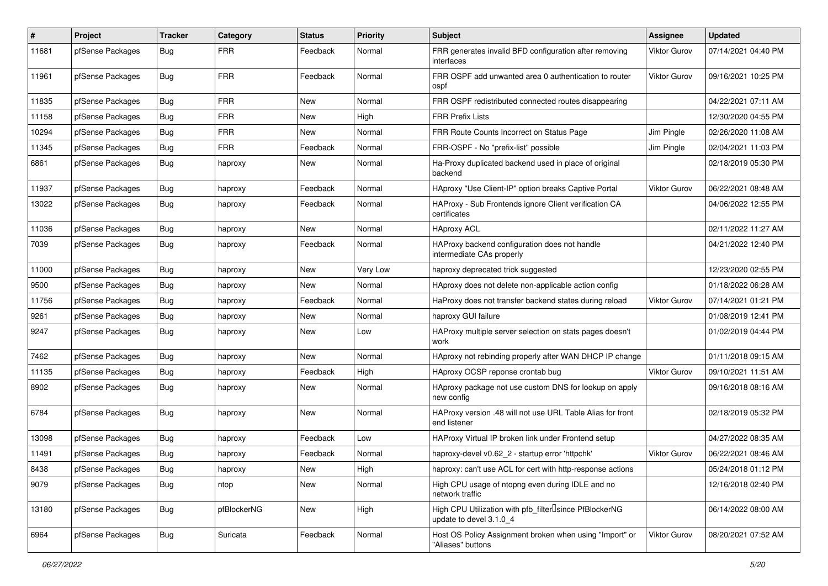| #     | Project          | <b>Tracker</b> | Category    | <b>Status</b> | <b>Priority</b> | <b>Subject</b>                                                                                  | Assignee            | <b>Updated</b>      |
|-------|------------------|----------------|-------------|---------------|-----------------|-------------------------------------------------------------------------------------------------|---------------------|---------------------|
| 11681 | pfSense Packages | Bug            | <b>FRR</b>  | Feedback      | Normal          | FRR generates invalid BFD configuration after removing<br>interfaces                            | Viktor Gurov        | 07/14/2021 04:40 PM |
| 11961 | pfSense Packages | Bug            | <b>FRR</b>  | Feedback      | Normal          | FRR OSPF add unwanted area 0 authentication to router<br>ospf                                   | Viktor Gurov        | 09/16/2021 10:25 PM |
| 11835 | pfSense Packages | <b>Bug</b>     | <b>FRR</b>  | <b>New</b>    | Normal          | FRR OSPF redistributed connected routes disappearing                                            |                     | 04/22/2021 07:11 AM |
| 11158 | pfSense Packages | Bug            | <b>FRR</b>  | New           | High            | <b>FRR Prefix Lists</b>                                                                         |                     | 12/30/2020 04:55 PM |
| 10294 | pfSense Packages | Bug            | <b>FRR</b>  | New           | Normal          | FRR Route Counts Incorrect on Status Page                                                       | Jim Pingle          | 02/26/2020 11:08 AM |
| 11345 | pfSense Packages | Bug            | <b>FRR</b>  | Feedback      | Normal          | FRR-OSPF - No "prefix-list" possible                                                            | Jim Pingle          | 02/04/2021 11:03 PM |
| 6861  | pfSense Packages | Bug            | haproxy     | New           | Normal          | Ha-Proxy duplicated backend used in place of original<br>backend                                |                     | 02/18/2019 05:30 PM |
| 11937 | pfSense Packages | Bug            | haproxy     | Feedback      | Normal          | HAproxy "Use Client-IP" option breaks Captive Portal                                            | Viktor Gurov        | 06/22/2021 08:48 AM |
| 13022 | pfSense Packages | Bug            | haproxy     | Feedback      | Normal          | HAProxy - Sub Frontends ignore Client verification CA<br>certificates                           |                     | 04/06/2022 12:55 PM |
| 11036 | pfSense Packages | Bug            | haproxy     | New           | Normal          | <b>HAproxy ACL</b>                                                                              |                     | 02/11/2022 11:27 AM |
| 7039  | pfSense Packages | Bug            | haproxy     | Feedback      | Normal          | HAProxy backend configuration does not handle<br>intermediate CAs properly                      |                     | 04/21/2022 12:40 PM |
| 11000 | pfSense Packages | Bug            | haproxy     | New           | Very Low        | haproxy deprecated trick suggested                                                              |                     | 12/23/2020 02:55 PM |
| 9500  | pfSense Packages | Bug            | haproxy     | New           | Normal          | HAproxy does not delete non-applicable action config                                            |                     | 01/18/2022 06:28 AM |
| 11756 | pfSense Packages | <b>Bug</b>     | haproxy     | Feedback      | Normal          | HaProxy does not transfer backend states during reload                                          | Viktor Gurov        | 07/14/2021 01:21 PM |
| 9261  | pfSense Packages | Bug            | haproxy     | New           | Normal          | haproxy GUI failure                                                                             |                     | 01/08/2019 12:41 PM |
| 9247  | pfSense Packages | Bug            | haproxy     | New           | Low             | HAProxy multiple server selection on stats pages doesn't<br>work                                |                     | 01/02/2019 04:44 PM |
| 7462  | pfSense Packages | Bug            | haproxy     | New           | Normal          | HAproxy not rebinding properly after WAN DHCP IP change                                         |                     | 01/11/2018 09:15 AM |
| 11135 | pfSense Packages | Bug            | haproxy     | Feedback      | High            | HAproxy OCSP reponse crontab bug                                                                | <b>Viktor Gurov</b> | 09/10/2021 11:51 AM |
| 8902  | pfSense Packages | Bug            | haproxy     | New           | Normal          | HAproxy package not use custom DNS for lookup on apply<br>new config                            |                     | 09/16/2018 08:16 AM |
| 6784  | pfSense Packages | <b>Bug</b>     | haproxy     | New           | Normal          | HAProxy version .48 will not use URL Table Alias for front<br>end listener                      |                     | 02/18/2019 05:32 PM |
| 13098 | pfSense Packages | Bug            | haproxy     | Feedback      | Low             | HAProxy Virtual IP broken link under Frontend setup                                             |                     | 04/27/2022 08:35 AM |
| 11491 | pfSense Packages | Bug            | haproxy     | Feedback      | Normal          | haproxy-devel v0.62_2 - startup error 'httpchk'                                                 | Viktor Gurov        | 06/22/2021 08:46 AM |
| 8438  | pfSense Packages | <b>Bug</b>     | haproxy     | New           | High            | haproxy: can't use ACL for cert with http-response actions                                      |                     | 05/24/2018 01:12 PM |
| 9079  | pfSense Packages | Bug            | ntop        | New           | Normal          | High CPU usage of ntopng even during IDLE and no<br>network traffic                             |                     | 12/16/2018 02:40 PM |
| 13180 | pfSense Packages | Bug            | pfBlockerNG | New           | High            | High CPU Utilization with pfb_filter <sup>[]</sup> since PfBlockerNG<br>update to devel 3.1.0_4 |                     | 06/14/2022 08:00 AM |
| 6964  | pfSense Packages | Bug            | Suricata    | Feedback      | Normal          | Host OS Policy Assignment broken when using "Import" or<br>"Aliases" buttons                    | Viktor Gurov        | 08/20/2021 07:52 AM |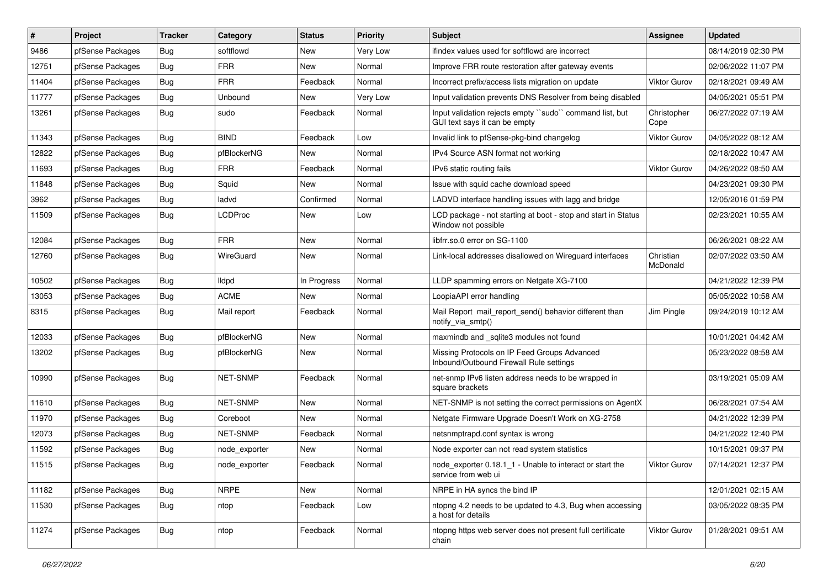| ∦     | Project          | <b>Tracker</b> | Category        | <b>Status</b> | <b>Priority</b> | <b>Subject</b>                                                                           | <b>Assignee</b>       | <b>Updated</b>      |
|-------|------------------|----------------|-----------------|---------------|-----------------|------------------------------------------------------------------------------------------|-----------------------|---------------------|
| 9486  | pfSense Packages | Bug            | softflowd       | New           | Very Low        | ifindex values used for softflowd are incorrect                                          |                       | 08/14/2019 02:30 PM |
| 12751 | pfSense Packages | <b>Bug</b>     | <b>FRR</b>      | New           | Normal          | Improve FRR route restoration after gateway events                                       |                       | 02/06/2022 11:07 PM |
| 11404 | pfSense Packages | Bug            | <b>FRR</b>      | Feedback      | Normal          | Incorrect prefix/access lists migration on update                                        | <b>Viktor Gurov</b>   | 02/18/2021 09:49 AM |
| 11777 | pfSense Packages | Bug            | Unbound         | New           | Very Low        | Input validation prevents DNS Resolver from being disabled                               |                       | 04/05/2021 05:51 PM |
| 13261 | pfSense Packages | Bug            | sudo            | Feedback      | Normal          | Input validation rejects empty "sudo" command list, but<br>GUI text says it can be empty | Christopher<br>Cope   | 06/27/2022 07:19 AM |
| 11343 | pfSense Packages | <b>Bug</b>     | <b>BIND</b>     | Feedback      | Low             | Invalid link to pfSense-pkg-bind changelog                                               | <b>Viktor Gurov</b>   | 04/05/2022 08:12 AM |
| 12822 | pfSense Packages | Bug            | pfBlockerNG     | New           | Normal          | IPv4 Source ASN format not working                                                       |                       | 02/18/2022 10:47 AM |
| 11693 | pfSense Packages | Bug            | <b>FRR</b>      | Feedback      | Normal          | IPv6 static routing fails                                                                | Viktor Gurov          | 04/26/2022 08:50 AM |
| 11848 | pfSense Packages | <b>Bug</b>     | Squid           | New           | Normal          | Issue with squid cache download speed                                                    |                       | 04/23/2021 09:30 PM |
| 3962  | pfSense Packages | Bug            | ladvd           | Confirmed     | Normal          | LADVD interface handling issues with lagg and bridge                                     |                       | 12/05/2016 01:59 PM |
| 11509 | pfSense Packages | Bug            | <b>LCDProc</b>  | New           | Low             | LCD package - not starting at boot - stop and start in Status<br>Window not possible     |                       | 02/23/2021 10:55 AM |
| 12084 | pfSense Packages | Bug            | <b>FRR</b>      | New           | Normal          | libfrr.so.0 error on SG-1100                                                             |                       | 06/26/2021 08:22 AM |
| 12760 | pfSense Packages | <b>Bug</b>     | WireGuard       | New           | Normal          | Link-local addresses disallowed on Wirequard interfaces                                  | Christian<br>McDonald | 02/07/2022 03:50 AM |
| 10502 | pfSense Packages | Bug            | lldpd           | In Progress   | Normal          | LLDP spamming errors on Netgate XG-7100                                                  |                       | 04/21/2022 12:39 PM |
| 13053 | pfSense Packages | <b>Bug</b>     | <b>ACME</b>     | <b>New</b>    | Normal          | LoopiaAPI error handling                                                                 |                       | 05/05/2022 10:58 AM |
| 8315  | pfSense Packages | Bug            | Mail report     | Feedback      | Normal          | Mail Report mail report send() behavior different than<br>notify_via_smtp()              | Jim Pingle            | 09/24/2019 10:12 AM |
| 12033 | pfSense Packages | Bug            | pfBlockerNG     | <b>New</b>    | Normal          | maxmindb and _sqlite3 modules not found                                                  |                       | 10/01/2021 04:42 AM |
| 13202 | pfSense Packages | Bug            | pfBlockerNG     | New           | Normal          | Missing Protocols on IP Feed Groups Advanced<br>Inbound/Outbound Firewall Rule settings  |                       | 05/23/2022 08:58 AM |
| 10990 | pfSense Packages | Bug            | <b>NET-SNMP</b> | Feedback      | Normal          | net-snmp IPv6 listen address needs to be wrapped in<br>square brackets                   |                       | 03/19/2021 05:09 AM |
| 11610 | pfSense Packages | <b>Bug</b>     | <b>NET-SNMP</b> | New           | Normal          | NET-SNMP is not setting the correct permissions on AgentX                                |                       | 06/28/2021 07:54 AM |
| 11970 | pfSense Packages | Bug            | Coreboot        | New           | Normal          | Netgate Firmware Upgrade Doesn't Work on XG-2758                                         |                       | 04/21/2022 12:39 PM |
| 12073 | pfSense Packages | Bug            | <b>NET-SNMP</b> | Feedback      | Normal          | netsnmptrapd.conf syntax is wrong                                                        |                       | 04/21/2022 12:40 PM |
| 11592 | pfSense Packages | Bug            | node_exporter   | New           | Normal          | Node exporter can not read system statistics                                             |                       | 10/15/2021 09:37 PM |
| 11515 | pfSense Packages | Bug            | node_exporter   | Feedback      | Normal          | node_exporter 0.18.1_1 - Unable to interact or start the<br>service from web ui          | <b>Viktor Gurov</b>   | 07/14/2021 12:37 PM |
| 11182 | pfSense Packages | Bug            | <b>NRPE</b>     | New           | Normal          | NRPE in HA syncs the bind IP                                                             |                       | 12/01/2021 02:15 AM |
| 11530 | pfSense Packages | Bug            | ntop            | Feedback      | Low             | ntopng 4.2 needs to be updated to 4.3, Bug when accessing<br>a host for details          |                       | 03/05/2022 08:35 PM |
| 11274 | pfSense Packages | <b>Bug</b>     | ntop            | Feedback      | Normal          | ntopng https web server does not present full certificate<br>chain                       | Viktor Gurov          | 01/28/2021 09:51 AM |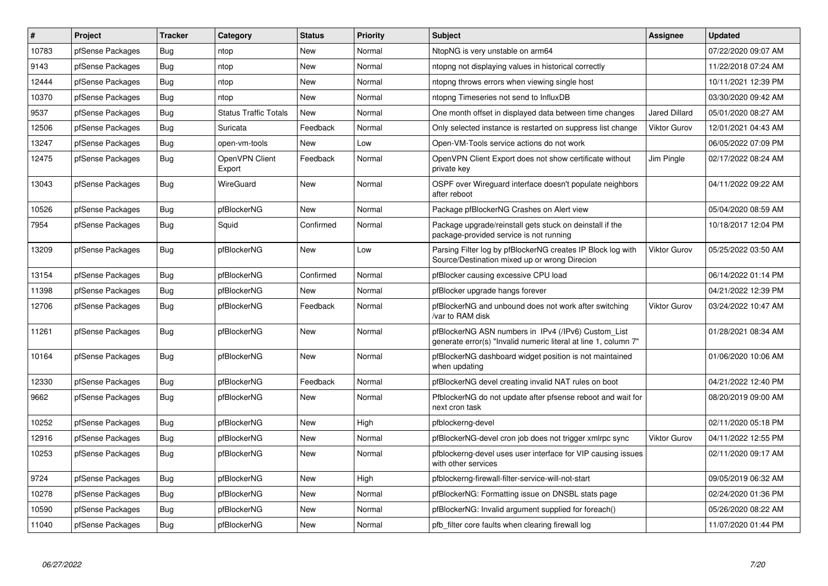| #     | Project          | <b>Tracker</b> | Category                     | <b>Status</b> | <b>Priority</b> | <b>Subject</b>                                                                                                         | <b>Assignee</b>      | <b>Updated</b>      |
|-------|------------------|----------------|------------------------------|---------------|-----------------|------------------------------------------------------------------------------------------------------------------------|----------------------|---------------------|
| 10783 | pfSense Packages | <b>Bug</b>     | ntop                         | New           | Normal          | NtopNG is very unstable on arm64                                                                                       |                      | 07/22/2020 09:07 AM |
| 9143  | pfSense Packages | Bug            | ntop                         | New           | Normal          | ntopng not displaying values in historical correctly                                                                   |                      | 11/22/2018 07:24 AM |
| 12444 | pfSense Packages | <b>Bug</b>     | ntop                         | <b>New</b>    | Normal          | ntopng throws errors when viewing single host                                                                          |                      | 10/11/2021 12:39 PM |
| 10370 | pfSense Packages | Bug            | ntop                         | New           | Normal          | ntopng Timeseries not send to InfluxDB                                                                                 |                      | 03/30/2020 09:42 AM |
| 9537  | pfSense Packages | Bug            | <b>Status Traffic Totals</b> | <b>New</b>    | Normal          | One month offset in displayed data between time changes                                                                | <b>Jared Dillard</b> | 05/01/2020 08:27 AM |
| 12506 | pfSense Packages | Bug            | Suricata                     | Feedback      | Normal          | Only selected instance is restarted on suppress list change                                                            | <b>Viktor Gurov</b>  | 12/01/2021 04:43 AM |
| 13247 | pfSense Packages | <b>Bug</b>     | open-vm-tools                | <b>New</b>    | Low             | Open-VM-Tools service actions do not work                                                                              |                      | 06/05/2022 07:09 PM |
| 12475 | pfSense Packages | <b>Bug</b>     | OpenVPN Client<br>Export     | Feedback      | Normal          | OpenVPN Client Export does not show certificate without<br>private key                                                 | Jim Pingle           | 02/17/2022 08:24 AM |
| 13043 | pfSense Packages | <b>Bug</b>     | WireGuard                    | <b>New</b>    | Normal          | OSPF over Wireguard interface doesn't populate neighbors<br>after reboot                                               |                      | 04/11/2022 09:22 AM |
| 10526 | pfSense Packages | Bug            | pfBlockerNG                  | <b>New</b>    | Normal          | Package pfBlockerNG Crashes on Alert view                                                                              |                      | 05/04/2020 08:59 AM |
| 7954  | pfSense Packages | <b>Bug</b>     | Squid                        | Confirmed     | Normal          | Package upgrade/reinstall gets stuck on deinstall if the<br>package-provided service is not running                    |                      | 10/18/2017 12:04 PM |
| 13209 | pfSense Packages | Bug            | pfBlockerNG                  | New           | Low             | Parsing Filter log by pfBlockerNG creates IP Block log with<br>Source/Destination mixed up or wrong Direcion           | <b>Viktor Gurov</b>  | 05/25/2022 03:50 AM |
| 13154 | pfSense Packages | <b>Bug</b>     | pfBlockerNG                  | Confirmed     | Normal          | pfBlocker causing excessive CPU load                                                                                   |                      | 06/14/2022 01:14 PM |
| 11398 | pfSense Packages | Bug            | pfBlockerNG                  | New           | Normal          | pfBlocker upgrade hangs forever                                                                                        |                      | 04/21/2022 12:39 PM |
| 12706 | pfSense Packages | <b>Bug</b>     | pfBlockerNG                  | Feedback      | Normal          | pfBlockerNG and unbound does not work after switching<br>/var to RAM disk                                              | <b>Viktor Gurov</b>  | 03/24/2022 10:47 AM |
| 11261 | pfSense Packages | <b>Bug</b>     | pfBlockerNG                  | <b>New</b>    | Normal          | pfBlockerNG ASN numbers in IPv4 (/IPv6) Custom_List<br>generate error(s) "Invalid numeric literal at line 1, column 7" |                      | 01/28/2021 08:34 AM |
| 10164 | pfSense Packages | Bug            | pfBlockerNG                  | <b>New</b>    | Normal          | pfBlockerNG dashboard widget position is not maintained<br>when updating                                               |                      | 01/06/2020 10:06 AM |
| 12330 | pfSense Packages | Bug            | pfBlockerNG                  | Feedback      | Normal          | pfBlockerNG devel creating invalid NAT rules on boot                                                                   |                      | 04/21/2022 12:40 PM |
| 9662  | pfSense Packages | Bug            | pfBlockerNG                  | <b>New</b>    | Normal          | PfblockerNG do not update after pfsense reboot and wait for<br>next cron task                                          |                      | 08/20/2019 09:00 AM |
| 10252 | pfSense Packages | <b>Bug</b>     | pfBlockerNG                  | <b>New</b>    | High            | pfblockerng-devel                                                                                                      |                      | 02/11/2020 05:18 PM |
| 12916 | pfSense Packages | <b>Bug</b>     | pfBlockerNG                  | New           | Normal          | pfBlockerNG-devel cron job does not trigger xmlrpc sync                                                                | <b>Viktor Gurov</b>  | 04/11/2022 12:55 PM |
| 10253 | pfSense Packages | <b>Bug</b>     | pfBlockerNG                  | <b>New</b>    | Normal          | pfblockerng-devel uses user interface for VIP causing issues<br>with other services                                    |                      | 02/11/2020 09:17 AM |
| 9724  | pfSense Packages | Bug            | pfBlockerNG                  | <b>New</b>    | High            | pfblockerng-firewall-filter-service-will-not-start                                                                     |                      | 09/05/2019 06:32 AM |
| 10278 | pfSense Packages | Bug            | pfBlockerNG                  | New           | Normal          | pfBlockerNG: Formatting issue on DNSBL stats page                                                                      |                      | 02/24/2020 01:36 PM |
| 10590 | pfSense Packages | Bug            | pfBlockerNG                  | New           | Normal          | pfBlockerNG: Invalid argument supplied for foreach()                                                                   |                      | 05/26/2020 08:22 AM |
| 11040 | pfSense Packages | Bug            | pfBlockerNG                  | <b>New</b>    | Normal          | pfb filter core faults when clearing firewall log                                                                      |                      | 11/07/2020 01:44 PM |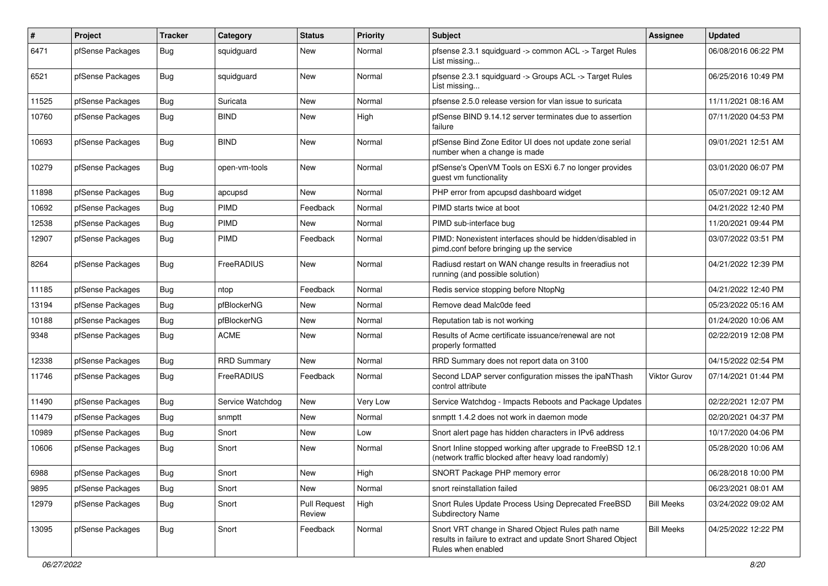| $\sharp$ | Project          | Tracker    | Category           | <b>Status</b>                 | <b>Priority</b> | <b>Subject</b>                                                                                                                          | Assignee          | <b>Updated</b>      |
|----------|------------------|------------|--------------------|-------------------------------|-----------------|-----------------------------------------------------------------------------------------------------------------------------------------|-------------------|---------------------|
| 6471     | pfSense Packages | Bug        | squidguard         | <b>New</b>                    | Normal          | pfsense 2.3.1 squidguard -> common ACL -> Target Rules<br>List missing                                                                  |                   | 06/08/2016 06:22 PM |
| 6521     | pfSense Packages | Bug        | squidguard         | <b>New</b>                    | Normal          | pfsense 2.3.1 squidguard -> Groups ACL -> Target Rules<br>List missing                                                                  |                   | 06/25/2016 10:49 PM |
| 11525    | pfSense Packages | Bug        | Suricata           | <b>New</b>                    | Normal          | pfsense 2.5.0 release version for vlan issue to suricata                                                                                |                   | 11/11/2021 08:16 AM |
| 10760    | pfSense Packages | Bug        | <b>BIND</b>        | New                           | High            | pfSense BIND 9.14.12 server terminates due to assertion<br>failure                                                                      |                   | 07/11/2020 04:53 PM |
| 10693    | pfSense Packages | Bug        | <b>BIND</b>        | <b>New</b>                    | Normal          | pfSense Bind Zone Editor UI does not update zone serial<br>number when a change is made                                                 |                   | 09/01/2021 12:51 AM |
| 10279    | pfSense Packages | Bug        | open-vm-tools      | <b>New</b>                    | Normal          | pfSense's OpenVM Tools on ESXi 6.7 no longer provides<br>guest vm functionality                                                         |                   | 03/01/2020 06:07 PM |
| 11898    | pfSense Packages | Bug        | apcupsd            | <b>New</b>                    | Normal          | PHP error from apcupsd dashboard widget                                                                                                 |                   | 05/07/2021 09:12 AM |
| 10692    | pfSense Packages | Bug        | PIMD               | Feedback                      | Normal          | PIMD starts twice at boot                                                                                                               |                   | 04/21/2022 12:40 PM |
| 12538    | pfSense Packages | Bug        | <b>PIMD</b>        | New                           | Normal          | PIMD sub-interface bug                                                                                                                  |                   | 11/20/2021 09:44 PM |
| 12907    | pfSense Packages | Bug        | PIMD               | Feedback                      | Normal          | PIMD: Nonexistent interfaces should be hidden/disabled in<br>pimd.conf before bringing up the service                                   |                   | 03/07/2022 03:51 PM |
| 8264     | pfSense Packages | Bug        | FreeRADIUS         | <b>New</b>                    | Normal          | Radiusd restart on WAN change results in freeradius not<br>running (and possible solution)                                              |                   | 04/21/2022 12:39 PM |
| 11185    | pfSense Packages | Bug        | ntop               | Feedback                      | Normal          | Redis service stopping before NtopNg                                                                                                    |                   | 04/21/2022 12:40 PM |
| 13194    | pfSense Packages | <b>Bug</b> | pfBlockerNG        | <b>New</b>                    | Normal          | Remove dead Malc0de feed                                                                                                                |                   | 05/23/2022 05:16 AM |
| 10188    | pfSense Packages | <b>Bug</b> | pfBlockerNG        | <b>New</b>                    | Normal          | Reputation tab is not working                                                                                                           |                   | 01/24/2020 10:06 AM |
| 9348     | pfSense Packages | <b>Bug</b> | <b>ACME</b>        | <b>New</b>                    | Normal          | Results of Acme certificate issuance/renewal are not<br>properly formatted                                                              |                   | 02/22/2019 12:08 PM |
| 12338    | pfSense Packages | Bug        | <b>RRD Summary</b> | <b>New</b>                    | Normal          | RRD Summary does not report data on 3100                                                                                                |                   | 04/15/2022 02:54 PM |
| 11746    | pfSense Packages | <b>Bug</b> | FreeRADIUS         | Feedback                      | Normal          | Second LDAP server configuration misses the ipaNThash<br>control attribute                                                              | Viktor Gurov      | 07/14/2021 01:44 PM |
| 11490    | pfSense Packages | Bug        | Service Watchdog   | <b>New</b>                    | Very Low        | Service Watchdog - Impacts Reboots and Package Updates                                                                                  |                   | 02/22/2021 12:07 PM |
| 11479    | pfSense Packages | Bug        | snmptt             | <b>New</b>                    | Normal          | snmptt 1.4.2 does not work in daemon mode                                                                                               |                   | 02/20/2021 04:37 PM |
| 10989    | pfSense Packages | <b>Bug</b> | Snort              | <b>New</b>                    | Low             | Snort alert page has hidden characters in IPv6 address                                                                                  |                   | 10/17/2020 04:06 PM |
| 10606    | pfSense Packages | <b>Bug</b> | Snort              | New                           | Normal          | Snort Inline stopped working after upgrade to FreeBSD 12.1<br>(network traffic blocked after heavy load randomly)                       |                   | 05/28/2020 10:06 AM |
| 6988     | pfSense Packages | Bug        | Snort              | New                           | High            | SNORT Package PHP memory error                                                                                                          |                   | 06/28/2018 10:00 PM |
| 9895     | pfSense Packages | Bug        | Snort              | New                           | Normal          | snort reinstallation failed                                                                                                             |                   | 06/23/2021 08:01 AM |
| 12979    | pfSense Packages | Bug        | Snort              | <b>Pull Request</b><br>Review | High            | Snort Rules Update Process Using Deprecated FreeBSD<br>Subdirectory Name                                                                | <b>Bill Meeks</b> | 03/24/2022 09:02 AM |
| 13095    | pfSense Packages | Bug        | Snort              | Feedback                      | Normal          | Snort VRT change in Shared Object Rules path name<br>results in failure to extract and update Snort Shared Object<br>Rules when enabled | <b>Bill Meeks</b> | 04/25/2022 12:22 PM |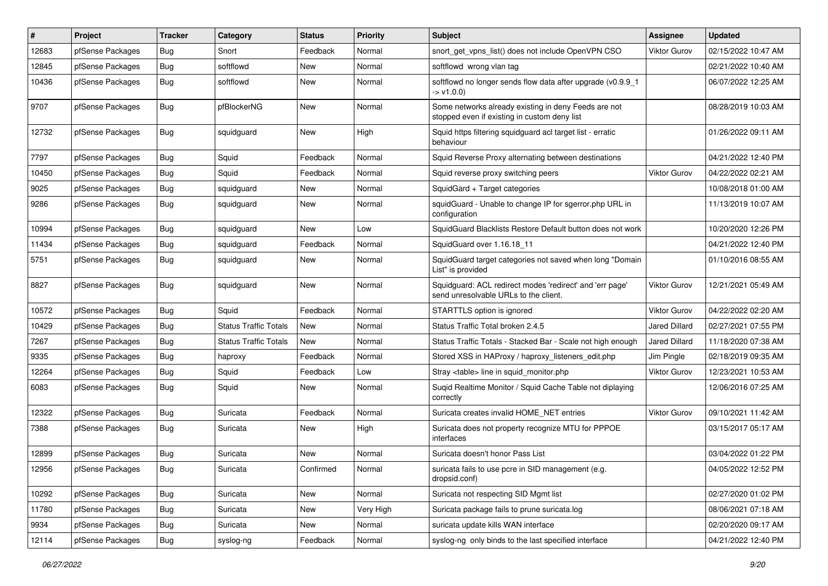| #     | Project          | <b>Tracker</b> | Category                     | <b>Status</b> | <b>Priority</b> | <b>Subject</b>                                                                                       | <b>Assignee</b>      | <b>Updated</b>      |
|-------|------------------|----------------|------------------------------|---------------|-----------------|------------------------------------------------------------------------------------------------------|----------------------|---------------------|
| 12683 | pfSense Packages | <b>Bug</b>     | Snort                        | Feedback      | Normal          | snort get vpns list() does not include OpenVPN CSO                                                   | <b>Viktor Gurov</b>  | 02/15/2022 10:47 AM |
| 12845 | pfSense Packages | <b>Bug</b>     | softflowd                    | New           | Normal          | softflowd wrong vlan tag                                                                             |                      | 02/21/2022 10:40 AM |
| 10436 | pfSense Packages | <b>Bug</b>     | softflowd                    | New           | Normal          | softflowd no longer sends flow data after upgrade (v0.9.9 1<br>-> v1.0.0)                            |                      | 06/07/2022 12:25 AM |
| 9707  | pfSense Packages | <b>Bug</b>     | pfBlockerNG                  | New           | Normal          | Some networks already existing in deny Feeds are not<br>stopped even if existing in custom deny list |                      | 08/28/2019 10:03 AM |
| 12732 | pfSense Packages | Bug            | squidguard                   | New           | High            | Squid https filtering squidguard acl target list - erratic<br>behaviour                              |                      | 01/26/2022 09:11 AM |
| 7797  | pfSense Packages | Bug            | Squid                        | Feedback      | Normal          | Squid Reverse Proxy alternating between destinations                                                 |                      | 04/21/2022 12:40 PM |
| 10450 | pfSense Packages | <b>Bug</b>     | Squid                        | Feedback      | Normal          | Squid reverse proxy switching peers                                                                  | <b>Viktor Gurov</b>  | 04/22/2022 02:21 AM |
| 9025  | pfSense Packages | <b>Bug</b>     | squidguard                   | New           | Normal          | SquidGard + Target categories                                                                        |                      | 10/08/2018 01:00 AM |
| 9286  | pfSense Packages | Bug            | squidguard                   | New           | Normal          | squidGuard - Unable to change IP for sgerror.php URL in<br>configuration                             |                      | 11/13/2019 10:07 AM |
| 10994 | pfSense Packages | <b>Bug</b>     | squidguard                   | New           | Low             | SquidGuard Blacklists Restore Default button does not work                                           |                      | 10/20/2020 12:26 PM |
| 11434 | pfSense Packages | Bug            | squidquard                   | Feedback      | Normal          | SquidGuard over 1.16.18 11                                                                           |                      | 04/21/2022 12:40 PM |
| 5751  | pfSense Packages | <b>Bug</b>     | squidguard                   | New           | Normal          | SquidGuard target categories not saved when long "Domain<br>List" is provided                        |                      | 01/10/2016 08:55 AM |
| 8827  | pfSense Packages | <b>Bug</b>     | squidguard                   | New           | Normal          | Squidguard: ACL redirect modes 'redirect' and 'err page'<br>send unresolvable URLs to the client.    | <b>Viktor Gurov</b>  | 12/21/2021 05:49 AM |
| 10572 | pfSense Packages | <b>Bug</b>     | Squid                        | Feedback      | Normal          | STARTTLS option is ignored                                                                           | <b>Viktor Gurov</b>  | 04/22/2022 02:20 AM |
| 10429 | pfSense Packages | Bug            | <b>Status Traffic Totals</b> | New           | Normal          | Status Traffic Total broken 2.4.5                                                                    | <b>Jared Dillard</b> | 02/27/2021 07:55 PM |
| 7267  | pfSense Packages | <b>Bug</b>     | <b>Status Traffic Totals</b> | New           | Normal          | Status Traffic Totals - Stacked Bar - Scale not high enough                                          | <b>Jared Dillard</b> | 11/18/2020 07:38 AM |
| 9335  | pfSense Packages | Bug            | haproxy                      | Feedback      | Normal          | Stored XSS in HAProxy / haproxy listeners edit.php                                                   | Jim Pingle           | 02/18/2019 09:35 AM |
| 12264 | pfSense Packages | <b>Bug</b>     | Squid                        | Feedback      | Low             | Stray <table> line in squid monitor.php</table>                                                      | <b>Viktor Gurov</b>  | 12/23/2021 10:53 AM |
| 6083  | pfSense Packages | <b>Bug</b>     | Squid                        | New           | Normal          | Suqid Realtime Monitor / Squid Cache Table not diplaying<br>correctly                                |                      | 12/06/2016 07:25 AM |
| 12322 | pfSense Packages | Bug            | Suricata                     | Feedback      | Normal          | Suricata creates invalid HOME NET entries                                                            | <b>Viktor Gurov</b>  | 09/10/2021 11:42 AM |
| 7388  | pfSense Packages | Bug            | Suricata                     | New           | High            | Suricata does not property recognize MTU for PPPOE<br>interfaces                                     |                      | 03/15/2017 05:17 AM |
| 12899 | pfSense Packages | <b>Bug</b>     | Suricata                     | New           | Normal          | Suricata doesn't honor Pass List                                                                     |                      | 03/04/2022 01:22 PM |
| 12956 | pfSense Packages | Bug            | Suricata                     | Confirmed     | Normal          | suricata fails to use pcre in SID management (e.g.<br>dropsid.conf)                                  |                      | 04/05/2022 12:52 PM |
| 10292 | pfSense Packages | Bug            | Suricata                     | New           | Normal          | Suricata not respecting SID Mgmt list                                                                |                      | 02/27/2020 01:02 PM |
| 11780 | pfSense Packages | Bug            | Suricata                     | New           | Very High       | Suricata package fails to prune suricata.log                                                         |                      | 08/06/2021 07:18 AM |
| 9934  | pfSense Packages | <b>Bug</b>     | Suricata                     | New           | Normal          | suricata update kills WAN interface                                                                  |                      | 02/20/2020 09:17 AM |
| 12114 | pfSense Packages | <b>Bug</b>     | syslog-ng                    | Feedback      | Normal          | syslog-ng only binds to the last specified interface                                                 |                      | 04/21/2022 12:40 PM |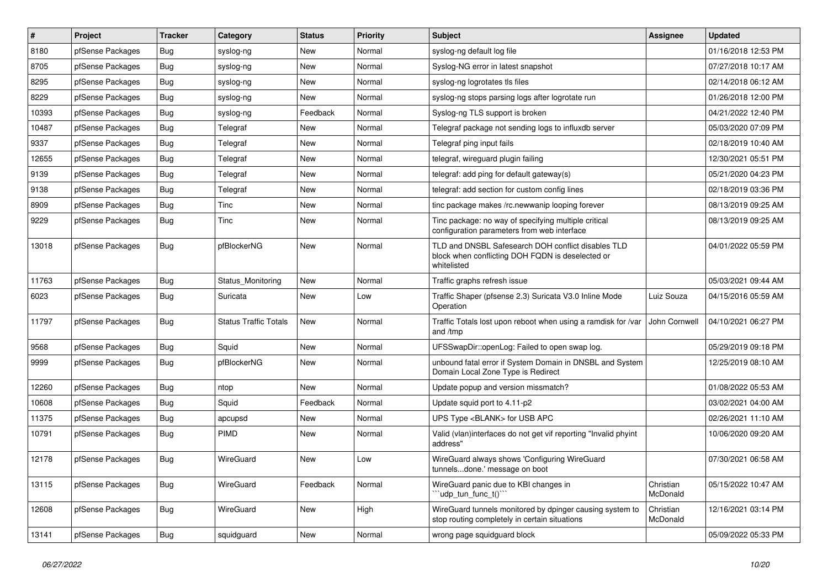| $\vert$ # | Project          | <b>Tracker</b> | Category                     | <b>Status</b> | <b>Priority</b> | Subject                                                                                                               | <b>Assignee</b>       | <b>Updated</b>      |
|-----------|------------------|----------------|------------------------------|---------------|-----------------|-----------------------------------------------------------------------------------------------------------------------|-----------------------|---------------------|
| 8180      | pfSense Packages | Bug            | syslog-ng                    | New           | Normal          | syslog-ng default log file                                                                                            |                       | 01/16/2018 12:53 PM |
| 8705      | pfSense Packages | <b>Bug</b>     | syslog-ng                    | New           | Normal          | Syslog-NG error in latest snapshot                                                                                    |                       | 07/27/2018 10:17 AM |
| 8295      | pfSense Packages | Bug            | syslog-ng                    | New           | Normal          | syslog-ng logrotates tls files                                                                                        |                       | 02/14/2018 06:12 AM |
| 8229      | pfSense Packages | Bug            | syslog-ng                    | New           | Normal          | syslog-ng stops parsing logs after logrotate run                                                                      |                       | 01/26/2018 12:00 PM |
| 10393     | pfSense Packages | Bug            | syslog-ng                    | Feedback      | Normal          | Syslog-ng TLS support is broken                                                                                       |                       | 04/21/2022 12:40 PM |
| 10487     | pfSense Packages | <b>Bug</b>     | Telegraf                     | New           | Normal          | Telegraf package not sending logs to influxdb server                                                                  |                       | 05/03/2020 07:09 PM |
| 9337      | pfSense Packages | Bug            | Telegraf                     | New           | Normal          | Telegraf ping input fails                                                                                             |                       | 02/18/2019 10:40 AM |
| 12655     | pfSense Packages | Bug            | Telegraf                     | New           | Normal          | telegraf, wireguard plugin failing                                                                                    |                       | 12/30/2021 05:51 PM |
| 9139      | pfSense Packages | Bug            | Telegraf                     | New           | Normal          | telegraf: add ping for default gateway(s)                                                                             |                       | 05/21/2020 04:23 PM |
| 9138      | pfSense Packages | Bug            | Telegraf                     | New           | Normal          | telegraf: add section for custom config lines                                                                         |                       | 02/18/2019 03:36 PM |
| 8909      | pfSense Packages | <b>Bug</b>     | Tinc                         | New           | Normal          | tinc package makes /rc.newwanip looping forever                                                                       |                       | 08/13/2019 09:25 AM |
| 9229      | pfSense Packages | Bug            | Tinc                         | New           | Normal          | Tinc package: no way of specifying multiple critical<br>configuration parameters from web interface                   |                       | 08/13/2019 09:25 AM |
| 13018     | pfSense Packages | Bug            | pfBlockerNG                  | <b>New</b>    | Normal          | TLD and DNSBL Safesearch DOH conflict disables TLD<br>block when conflicting DOH FQDN is deselected or<br>whitelisted |                       | 04/01/2022 05:59 PM |
| 11763     | pfSense Packages | Bug            | Status Monitoring            | <b>New</b>    | Normal          | Traffic graphs refresh issue                                                                                          |                       | 05/03/2021 09:44 AM |
| 6023      | pfSense Packages | Bug            | Suricata                     | New           | Low             | Traffic Shaper (pfsense 2.3) Suricata V3.0 Inline Mode<br>Operation                                                   | Luiz Souza            | 04/15/2016 05:59 AM |
| 11797     | pfSense Packages | Bug            | <b>Status Traffic Totals</b> | New           | Normal          | Traffic Totals lost upon reboot when using a ramdisk for /var<br>and /tmp                                             | John Cornwell         | 04/10/2021 06:27 PM |
| 9568      | pfSense Packages | Bug            | Squid                        | New           | Normal          | UFSSwapDir::openLog: Failed to open swap log.                                                                         |                       | 05/29/2019 09:18 PM |
| 9999      | pfSense Packages | Bug            | pfBlockerNG                  | New           | Normal          | unbound fatal error if System Domain in DNSBL and System<br>Domain Local Zone Type is Redirect                        |                       | 12/25/2019 08:10 AM |
| 12260     | pfSense Packages | Bug            | ntop                         | New           | Normal          | Update popup and version missmatch?                                                                                   |                       | 01/08/2022 05:53 AM |
| 10608     | pfSense Packages | Bug            | Squid                        | Feedback      | Normal          | Update squid port to 4.11-p2                                                                                          |                       | 03/02/2021 04:00 AM |
| 11375     | pfSense Packages | Bug            | apcupsd                      | New           | Normal          | UPS Type <blank> for USB APC</blank>                                                                                  |                       | 02/26/2021 11:10 AM |
| 10791     | pfSense Packages | Bug            | PIMD                         | New           | Normal          | Valid (vlan)interfaces do not get vif reporting "Invalid phyint<br>address"                                           |                       | 10/06/2020 09:20 AM |
| 12178     | pfSense Packages | Bug            | WireGuard                    | New           | Low             | WireGuard always shows 'Configuring WireGuard<br>tunnelsdone.' message on boot                                        |                       | 07/30/2021 06:58 AM |
| 13115     | pfSense Packages | <b>Bug</b>     | WireGuard                    | Feedback      | Normal          | WireGuard panic due to KBI changes in<br>"udp tun func t()"                                                           | Christian<br>McDonald | 05/15/2022 10:47 AM |
| 12608     | pfSense Packages | Bug            | WireGuard                    | New           | High            | WireGuard tunnels monitored by dpinger causing system to<br>stop routing completely in certain situations             | Christian<br>McDonald | 12/16/2021 03:14 PM |
| 13141     | pfSense Packages | <b>Bug</b>     | squidguard                   | New           | Normal          | wrong page squidguard block                                                                                           |                       | 05/09/2022 05:33 PM |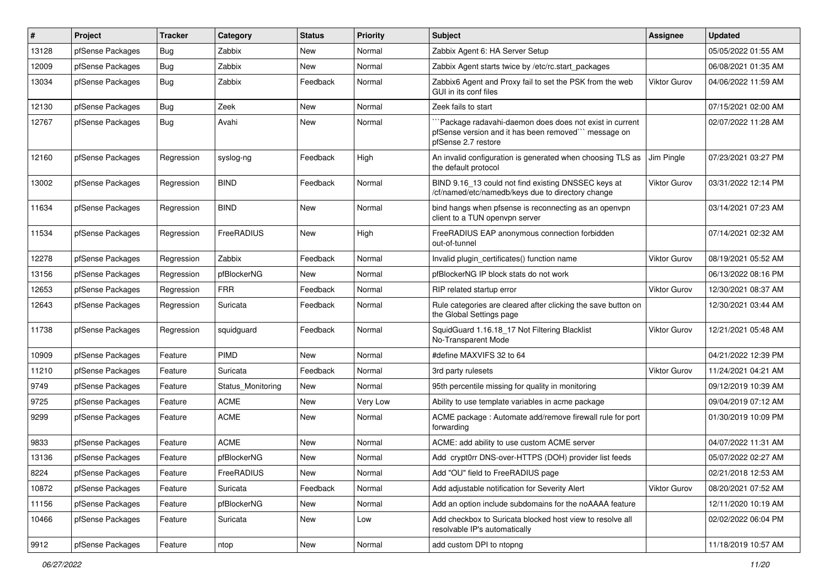| #     | Project          | <b>Tracker</b> | Category          | <b>Status</b> | <b>Priority</b> | <b>Subject</b>                                                                                                                        | Assignee            | <b>Updated</b>      |
|-------|------------------|----------------|-------------------|---------------|-----------------|---------------------------------------------------------------------------------------------------------------------------------------|---------------------|---------------------|
| 13128 | pfSense Packages | Bug            | Zabbix            | New           | Normal          | Zabbix Agent 6: HA Server Setup                                                                                                       |                     | 05/05/2022 01:55 AM |
| 12009 | pfSense Packages | Bug            | Zabbix            | New           | Normal          | Zabbix Agent starts twice by /etc/rc.start_packages                                                                                   |                     | 06/08/2021 01:35 AM |
| 13034 | pfSense Packages | Bug            | Zabbix            | Feedback      | Normal          | Zabbix6 Agent and Proxy fail to set the PSK from the web<br>GUI in its conf files                                                     | Viktor Gurov        | 04/06/2022 11:59 AM |
| 12130 | pfSense Packages | Bug            | Zeek              | New           | Normal          | Zeek fails to start                                                                                                                   |                     | 07/15/2021 02:00 AM |
| 12767 | pfSense Packages | Bug            | Avahi             | New           | Normal          | "Package radavahi-daemon does does not exist in current<br>pfSense version and it has been removed" message on<br>pfSense 2.7 restore |                     | 02/07/2022 11:28 AM |
| 12160 | pfSense Packages | Regression     | syslog-ng         | Feedback      | High            | An invalid configuration is generated when choosing TLS as<br>the default protocol                                                    | Jim Pingle          | 07/23/2021 03:27 PM |
| 13002 | pfSense Packages | Regression     | <b>BIND</b>       | Feedback      | Normal          | BIND 9.16_13 could not find existing DNSSEC keys at<br>/cf/named/etc/namedb/keys due to directory change                              | <b>Viktor Gurov</b> | 03/31/2022 12:14 PM |
| 11634 | pfSense Packages | Regression     | <b>BIND</b>       | <b>New</b>    | Normal          | bind hangs when pfsense is reconnecting as an openvpn<br>client to a TUN openvpn server                                               |                     | 03/14/2021 07:23 AM |
| 11534 | pfSense Packages | Regression     | FreeRADIUS        | New           | High            | FreeRADIUS EAP anonymous connection forbidden<br>out-of-tunnel                                                                        |                     | 07/14/2021 02:32 AM |
| 12278 | pfSense Packages | Regression     | Zabbix            | Feedback      | Normal          | Invalid plugin certificates() function name                                                                                           | <b>Viktor Gurov</b> | 08/19/2021 05:52 AM |
| 13156 | pfSense Packages | Regression     | pfBlockerNG       | New           | Normal          | pfBlockerNG IP block stats do not work                                                                                                |                     | 06/13/2022 08:16 PM |
| 12653 | pfSense Packages | Regression     | <b>FRR</b>        | Feedback      | Normal          | RIP related startup error                                                                                                             | Viktor Gurov        | 12/30/2021 08:37 AM |
| 12643 | pfSense Packages | Regression     | Suricata          | Feedback      | Normal          | Rule categories are cleared after clicking the save button on<br>the Global Settings page                                             |                     | 12/30/2021 03:44 AM |
| 11738 | pfSense Packages | Regression     | squidguard        | Feedback      | Normal          | SquidGuard 1.16.18_17 Not Filtering Blacklist<br>No-Transparent Mode                                                                  | <b>Viktor Gurov</b> | 12/21/2021 05:48 AM |
| 10909 | pfSense Packages | Feature        | <b>PIMD</b>       | New           | Normal          | #define MAXVIFS 32 to 64                                                                                                              |                     | 04/21/2022 12:39 PM |
| 11210 | pfSense Packages | Feature        | Suricata          | Feedback      | Normal          | 3rd party rulesets                                                                                                                    | <b>Viktor Gurov</b> | 11/24/2021 04:21 AM |
| 9749  | pfSense Packages | Feature        | Status Monitoring | New           | Normal          | 95th percentile missing for quality in monitoring                                                                                     |                     | 09/12/2019 10:39 AM |
| 9725  | pfSense Packages | Feature        | <b>ACME</b>       | New           | Very Low        | Ability to use template variables in acme package                                                                                     |                     | 09/04/2019 07:12 AM |
| 9299  | pfSense Packages | Feature        | <b>ACME</b>       | New           | Normal          | ACME package : Automate add/remove firewall rule for port<br>forwarding                                                               |                     | 01/30/2019 10:09 PM |
| 9833  | pfSense Packages | Feature        | <b>ACME</b>       | New           | Normal          | ACME: add ability to use custom ACME server                                                                                           |                     | 04/07/2022 11:31 AM |
| 13136 | pfSense Packages | Feature        | pfBlockerNG       | New           | Normal          | Add crypt0rr DNS-over-HTTPS (DOH) provider list feeds                                                                                 |                     | 05/07/2022 02:27 AM |
| 8224  | pfSense Packages | Feature        | FreeRADIUS        | New           | Normal          | Add "OU" field to FreeRADIUS page                                                                                                     |                     | 02/21/2018 12:53 AM |
| 10872 | pfSense Packages | Feature        | Suricata          | Feedback      | Normal          | Add adjustable notification for Severity Alert                                                                                        | Viktor Gurov        | 08/20/2021 07:52 AM |
| 11156 | pfSense Packages | Feature        | pfBlockerNG       | New           | Normal          | Add an option include subdomains for the noAAAA feature                                                                               |                     | 12/11/2020 10:19 AM |
| 10466 | pfSense Packages | Feature        | Suricata          | New           | Low             | Add checkbox to Suricata blocked host view to resolve all<br>resolvable IP's automatically                                            |                     | 02/02/2022 06:04 PM |
| 9912  | pfSense Packages | Feature        | ntop              | New           | Normal          | add custom DPI to ntopng                                                                                                              |                     | 11/18/2019 10:57 AM |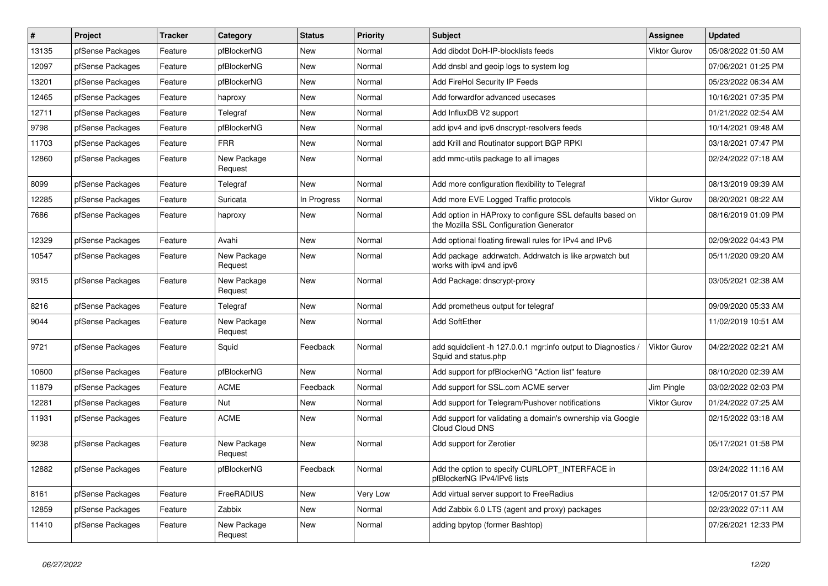| $\pmb{\#}$ | Project          | <b>Tracker</b> | Category               | <b>Status</b> | <b>Priority</b> | <b>Subject</b>                                                                                      | <b>Assignee</b>     | <b>Updated</b>      |
|------------|------------------|----------------|------------------------|---------------|-----------------|-----------------------------------------------------------------------------------------------------|---------------------|---------------------|
| 13135      | pfSense Packages | Feature        | pfBlockerNG            | New           | Normal          | Add dibdot DoH-IP-blocklists feeds                                                                  | <b>Viktor Gurov</b> | 05/08/2022 01:50 AM |
| 12097      | pfSense Packages | Feature        | pfBlockerNG            | <b>New</b>    | Normal          | Add dnsbl and geoip logs to system log                                                              |                     | 07/06/2021 01:25 PM |
| 13201      | pfSense Packages | Feature        | pfBlockerNG            | <b>New</b>    | Normal          | <b>Add FireHol Security IP Feeds</b>                                                                |                     | 05/23/2022 06:34 AM |
| 12465      | pfSense Packages | Feature        | haproxy                | <b>New</b>    | Normal          | Add forwardfor advanced usecases                                                                    |                     | 10/16/2021 07:35 PM |
| 12711      | pfSense Packages | Feature        | Telegraf               | <b>New</b>    | Normal          | Add InfluxDB V2 support                                                                             |                     | 01/21/2022 02:54 AM |
| 9798       | pfSense Packages | Feature        | pfBlockerNG            | <b>New</b>    | Normal          | add ipv4 and ipv6 dnscrypt-resolvers feeds                                                          |                     | 10/14/2021 09:48 AM |
| 11703      | pfSense Packages | Feature        | <b>FRR</b>             | <b>New</b>    | Normal          | add Krill and Routinator support BGP RPKI                                                           |                     | 03/18/2021 07:47 PM |
| 12860      | pfSense Packages | Feature        | New Package<br>Request | New           | Normal          | add mmc-utils package to all images                                                                 |                     | 02/24/2022 07:18 AM |
| 8099       | pfSense Packages | Feature        | Telegraf               | New           | Normal          | Add more configuration flexibility to Telegraf                                                      |                     | 08/13/2019 09:39 AM |
| 12285      | pfSense Packages | Feature        | Suricata               | In Progress   | Normal          | Add more EVE Logged Traffic protocols                                                               | <b>Viktor Gurov</b> | 08/20/2021 08:22 AM |
| 7686       | pfSense Packages | Feature        | haproxy                | <b>New</b>    | Normal          | Add option in HAProxy to configure SSL defaults based on<br>the Mozilla SSL Configuration Generator |                     | 08/16/2019 01:09 PM |
| 12329      | pfSense Packages | Feature        | Avahi                  | <b>New</b>    | Normal          | Add optional floating firewall rules for IPv4 and IPv6                                              |                     | 02/09/2022 04:43 PM |
| 10547      | pfSense Packages | Feature        | New Package<br>Request | <b>New</b>    | Normal          | Add package addrwatch. Addrwatch is like arpwatch but<br>works with ipv4 and ipv6                   |                     | 05/11/2020 09:20 AM |
| 9315       | pfSense Packages | Feature        | New Package<br>Request | New           | Normal          | Add Package: dnscrypt-proxy                                                                         |                     | 03/05/2021 02:38 AM |
| 8216       | pfSense Packages | Feature        | Telegraf               | <b>New</b>    | Normal          | Add prometheus output for telegraf                                                                  |                     | 09/09/2020 05:33 AM |
| 9044       | pfSense Packages | Feature        | New Package<br>Request | New           | Normal          | <b>Add SoftEther</b>                                                                                |                     | 11/02/2019 10:51 AM |
| 9721       | pfSense Packages | Feature        | Squid                  | Feedback      | Normal          | add squidclient -h 127.0.0.1 mgr:info output to Diagnostics /<br>Squid and status.php               | Viktor Gurov        | 04/22/2022 02:21 AM |
| 10600      | pfSense Packages | Feature        | pfBlockerNG            | New           | Normal          | Add support for pfBlockerNG "Action list" feature                                                   |                     | 08/10/2020 02:39 AM |
| 11879      | pfSense Packages | Feature        | <b>ACME</b>            | Feedback      | Normal          | Add support for SSL.com ACME server                                                                 | Jim Pingle          | 03/02/2022 02:03 PM |
| 12281      | pfSense Packages | Feature        | Nut                    | New           | Normal          | Add support for Telegram/Pushover notifications                                                     | <b>Viktor Gurov</b> | 01/24/2022 07:25 AM |
| 11931      | pfSense Packages | Feature        | <b>ACME</b>            | New           | Normal          | Add support for validating a domain's ownership via Google<br><b>Cloud Cloud DNS</b>                |                     | 02/15/2022 03:18 AM |
| 9238       | pfSense Packages | Feature        | New Package<br>Request | New           | Normal          | Add support for Zerotier                                                                            |                     | 05/17/2021 01:58 PM |
| 12882      | pfSense Packages | Feature        | pfBlockerNG            | Feedback      | Normal          | Add the option to specify CURLOPT_INTERFACE in<br>pfBlockerNG IPv4/IPv6 lists                       |                     | 03/24/2022 11:16 AM |
| 8161       | pfSense Packages | Feature        | FreeRADIUS             | New           | Very Low        | Add virtual server support to FreeRadius                                                            |                     | 12/05/2017 01:57 PM |
| 12859      | pfSense Packages | Feature        | Zabbix                 | New           | Normal          | Add Zabbix 6.0 LTS (agent and proxy) packages                                                       |                     | 02/23/2022 07:11 AM |
| 11410      | pfSense Packages | Feature        | New Package<br>Request | New           | Normal          | adding bpytop (former Bashtop)                                                                      |                     | 07/26/2021 12:33 PM |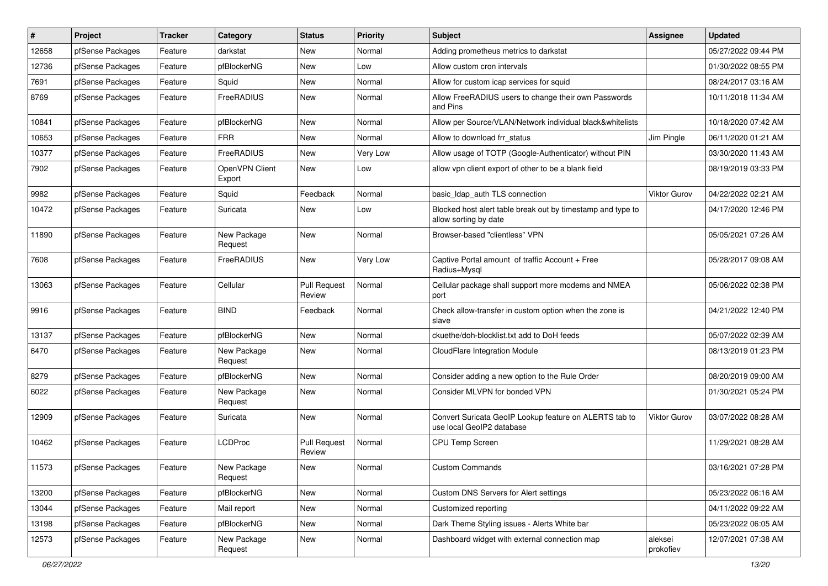| $\sharp$ | Project          | <b>Tracker</b> | Category                 | <b>Status</b>                 | Priority | Subject                                                                              | <b>Assignee</b>      | <b>Updated</b>      |
|----------|------------------|----------------|--------------------------|-------------------------------|----------|--------------------------------------------------------------------------------------|----------------------|---------------------|
| 12658    | pfSense Packages | Feature        | darkstat                 | New                           | Normal   | Adding prometheus metrics to darkstat                                                |                      | 05/27/2022 09:44 PM |
| 12736    | pfSense Packages | Feature        | pfBlockerNG              | <b>New</b>                    | Low      | Allow custom cron intervals                                                          |                      | 01/30/2022 08:55 PM |
| 7691     | pfSense Packages | Feature        | Squid                    | New                           | Normal   | Allow for custom icap services for squid                                             |                      | 08/24/2017 03:16 AM |
| 8769     | pfSense Packages | Feature        | FreeRADIUS               | <b>New</b>                    | Normal   | Allow FreeRADIUS users to change their own Passwords<br>and Pins                     |                      | 10/11/2018 11:34 AM |
| 10841    | pfSense Packages | Feature        | pfBlockerNG              | <b>New</b>                    | Normal   | Allow per Source/VLAN/Network individual black&whitelists                            |                      | 10/18/2020 07:42 AM |
| 10653    | pfSense Packages | Feature        | <b>FRR</b>               | <b>New</b>                    | Normal   | Allow to download frr status                                                         | Jim Pingle           | 06/11/2020 01:21 AM |
| 10377    | pfSense Packages | Feature        | FreeRADIUS               | <b>New</b>                    | Very Low | Allow usage of TOTP (Google-Authenticator) without PIN                               |                      | 03/30/2020 11:43 AM |
| 7902     | pfSense Packages | Feature        | OpenVPN Client<br>Export | <b>New</b>                    | Low      | allow vpn client export of other to be a blank field                                 |                      | 08/19/2019 03:33 PM |
| 9982     | pfSense Packages | Feature        | Squid                    | Feedback                      | Normal   | basic Idap auth TLS connection                                                       | Viktor Gurov         | 04/22/2022 02:21 AM |
| 10472    | pfSense Packages | Feature        | Suricata                 | <b>New</b>                    | Low      | Blocked host alert table break out by timestamp and type to<br>allow sorting by date |                      | 04/17/2020 12:46 PM |
| 11890    | pfSense Packages | Feature        | New Package<br>Request   | <b>New</b>                    | Normal   | Browser-based "clientless" VPN                                                       |                      | 05/05/2021 07:26 AM |
| 7608     | pfSense Packages | Feature        | FreeRADIUS               | <b>New</b>                    | Very Low | Captive Portal amount of traffic Account + Free<br>Radius+Mysql                      |                      | 05/28/2017 09:08 AM |
| 13063    | pfSense Packages | Feature        | Cellular                 | <b>Pull Request</b><br>Review | Normal   | Cellular package shall support more modems and NMEA<br>port                          |                      | 05/06/2022 02:38 PM |
| 9916     | pfSense Packages | Feature        | <b>BIND</b>              | Feedback                      | Normal   | Check allow-transfer in custom option when the zone is<br>slave                      |                      | 04/21/2022 12:40 PM |
| 13137    | pfSense Packages | Feature        | pfBlockerNG              | New                           | Normal   | ckuethe/doh-blocklist.txt add to DoH feeds                                           |                      | 05/07/2022 02:39 AM |
| 6470     | pfSense Packages | Feature        | New Package<br>Request   | <b>New</b>                    | Normal   | CloudFlare Integration Module                                                        |                      | 08/13/2019 01:23 PM |
| 8279     | pfSense Packages | Feature        | pfBlockerNG              | <b>New</b>                    | Normal   | Consider adding a new option to the Rule Order                                       |                      | 08/20/2019 09:00 AM |
| 6022     | pfSense Packages | Feature        | New Package<br>Request   | New                           | Normal   | Consider MLVPN for bonded VPN                                                        |                      | 01/30/2021 05:24 PM |
| 12909    | pfSense Packages | Feature        | Suricata                 | New                           | Normal   | Convert Suricata GeoIP Lookup feature on ALERTS tab to<br>use local GeoIP2 database  | Viktor Gurov         | 03/07/2022 08:28 AM |
| 10462    | pfSense Packages | Feature        | <b>LCDProc</b>           | <b>Pull Request</b><br>Review | Normal   | <b>CPU Temp Screen</b>                                                               |                      | 11/29/2021 08:28 AM |
| 11573    | pfSense Packages | Feature        | New Package<br>Request   | New                           | Normal   | <b>Custom Commands</b>                                                               |                      | 03/16/2021 07:28 PM |
| 13200    | pfSense Packages | Feature        | pfBlockerNG              | New                           | Normal   | <b>Custom DNS Servers for Alert settings</b>                                         |                      | 05/23/2022 06:16 AM |
| 13044    | pfSense Packages | Feature        | Mail report              | New                           | Normal   | Customized reporting                                                                 |                      | 04/11/2022 09:22 AM |
| 13198    | pfSense Packages | Feature        | pfBlockerNG              | New                           | Normal   | Dark Theme Styling issues - Alerts White bar                                         |                      | 05/23/2022 06:05 AM |
| 12573    | pfSense Packages | Feature        | New Package<br>Request   | New                           | Normal   | Dashboard widget with external connection map                                        | aleksei<br>prokofiev | 12/07/2021 07:38 AM |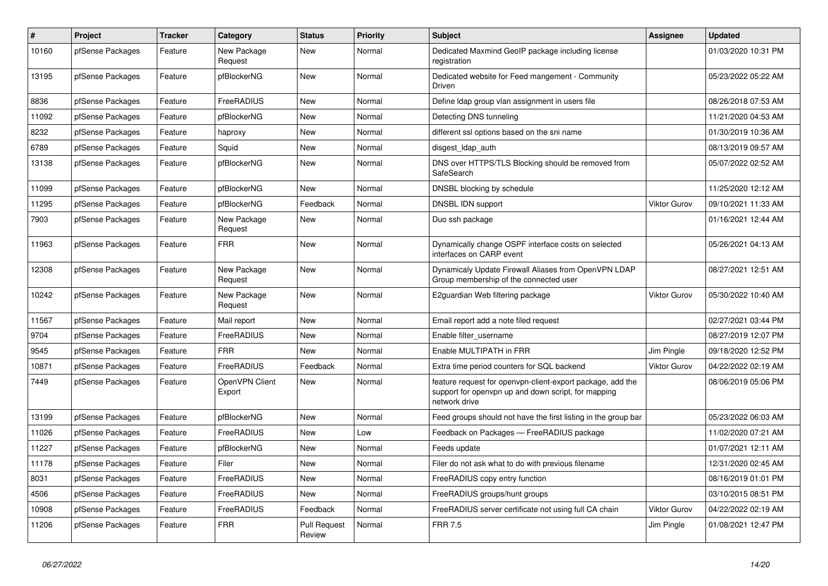| $\#$  | <b>Project</b>   | <b>Tracker</b> | Category                 | <b>Status</b>                 | <b>Priority</b> | <b>Subject</b>                                                                                                                     | <b>Assignee</b>     | <b>Updated</b>      |
|-------|------------------|----------------|--------------------------|-------------------------------|-----------------|------------------------------------------------------------------------------------------------------------------------------------|---------------------|---------------------|
| 10160 | pfSense Packages | Feature        | New Package<br>Request   | New                           | Normal          | Dedicated Maxmind GeoIP package including license<br>registration                                                                  |                     | 01/03/2020 10:31 PM |
| 13195 | pfSense Packages | Feature        | pfBlockerNG              | <b>New</b>                    | Normal          | Dedicated website for Feed mangement - Community<br>Driven                                                                         |                     | 05/23/2022 05:22 AM |
| 8836  | pfSense Packages | Feature        | FreeRADIUS               | <b>New</b>                    | Normal          | Define Idap group vlan assignment in users file                                                                                    |                     | 08/26/2018 07:53 AM |
| 11092 | pfSense Packages | Feature        | pfBlockerNG              | <b>New</b>                    | Normal          | Detecting DNS tunneling                                                                                                            |                     | 11/21/2020 04:53 AM |
| 8232  | pfSense Packages | Feature        | haproxy                  | <b>New</b>                    | Normal          | different ssl options based on the sni name                                                                                        |                     | 01/30/2019 10:36 AM |
| 6789  | pfSense Packages | Feature        | Squid                    | <b>New</b>                    | Normal          | disgest Idap auth                                                                                                                  |                     | 08/13/2019 09:57 AM |
| 13138 | pfSense Packages | Feature        | pfBlockerNG              | <b>New</b>                    | Normal          | DNS over HTTPS/TLS Blocking should be removed from<br>SafeSearch                                                                   |                     | 05/07/2022 02:52 AM |
| 11099 | pfSense Packages | Feature        | pfBlockerNG              | New                           | Normal          | DNSBL blocking by schedule                                                                                                         |                     | 11/25/2020 12:12 AM |
| 11295 | pfSense Packages | Feature        | pfBlockerNG              | Feedback                      | Normal          | DNSBL IDN support                                                                                                                  | <b>Viktor Gurov</b> | 09/10/2021 11:33 AM |
| 7903  | pfSense Packages | Feature        | New Package<br>Request   | New                           | Normal          | Duo ssh package                                                                                                                    |                     | 01/16/2021 12:44 AM |
| 11963 | pfSense Packages | Feature        | <b>FRR</b>               | <b>New</b>                    | Normal          | Dynamically change OSPF interface costs on selected<br>interfaces on CARP event                                                    |                     | 05/26/2021 04:13 AM |
| 12308 | pfSense Packages | Feature        | New Package<br>Request   | New                           | Normal          | Dynamicaly Update Firewall Aliases from OpenVPN LDAP<br>Group membership of the connected user                                     |                     | 08/27/2021 12:51 AM |
| 10242 | pfSense Packages | Feature        | New Package<br>Request   | <b>New</b>                    | Normal          | E2guardian Web filtering package                                                                                                   | <b>Viktor Gurov</b> | 05/30/2022 10:40 AM |
| 11567 | pfSense Packages | Feature        | Mail report              | New                           | Normal          | Email report add a note filed request                                                                                              |                     | 02/27/2021 03:44 PM |
| 9704  | pfSense Packages | Feature        | FreeRADIUS               | New                           | Normal          | Enable filter username                                                                                                             |                     | 08/27/2019 12:07 PM |
| 9545  | pfSense Packages | Feature        | <b>FRR</b>               | New                           | Normal          | Enable MULTIPATH in FRR                                                                                                            | Jim Pingle          | 09/18/2020 12:52 PM |
| 10871 | pfSense Packages | Feature        | FreeRADIUS               | Feedback                      | Normal          | Extra time period counters for SQL backend                                                                                         | <b>Viktor Gurov</b> | 04/22/2022 02:19 AM |
| 7449  | pfSense Packages | Feature        | OpenVPN Client<br>Export | New                           | Normal          | feature request for openypn-client-export package, add the<br>support for openvpn up and down script, for mapping<br>network drive |                     | 08/06/2019 05:06 PM |
| 13199 | pfSense Packages | Feature        | pfBlockerNG              | <b>New</b>                    | Normal          | Feed groups should not have the first listing in the group bar                                                                     |                     | 05/23/2022 06:03 AM |
| 11026 | pfSense Packages | Feature        | FreeRADIUS               | New                           | Low             | Feedback on Packages - FreeRADIUS package                                                                                          |                     | 11/02/2020 07:21 AM |
| 11227 | pfSense Packages | Feature        | pfBlockerNG              | New                           | Normal          | Feeds update                                                                                                                       |                     | 01/07/2021 12:11 AM |
| 11178 | pfSense Packages | Feature        | Filer                    | New                           | Normal          | Filer do not ask what to do with previous filename                                                                                 |                     | 12/31/2020 02:45 AM |
| 8031  | pfSense Packages | Feature        | FreeRADIUS               | New                           | Normal          | FreeRADIUS copy entry function                                                                                                     |                     | 08/16/2019 01:01 PM |
| 4506  | pfSense Packages | Feature        | FreeRADIUS               | New                           | Normal          | FreeRADIUS groups/hunt groups                                                                                                      |                     | 03/10/2015 08:51 PM |
| 10908 | pfSense Packages | Feature        | FreeRADIUS               | Feedback                      | Normal          | FreeRADIUS server certificate not using full CA chain                                                                              | Viktor Gurov        | 04/22/2022 02:19 AM |
| 11206 | pfSense Packages | Feature        | <b>FRR</b>               | <b>Pull Request</b><br>Review | Normal          | <b>FRR 7.5</b>                                                                                                                     | Jim Pingle          | 01/08/2021 12:47 PM |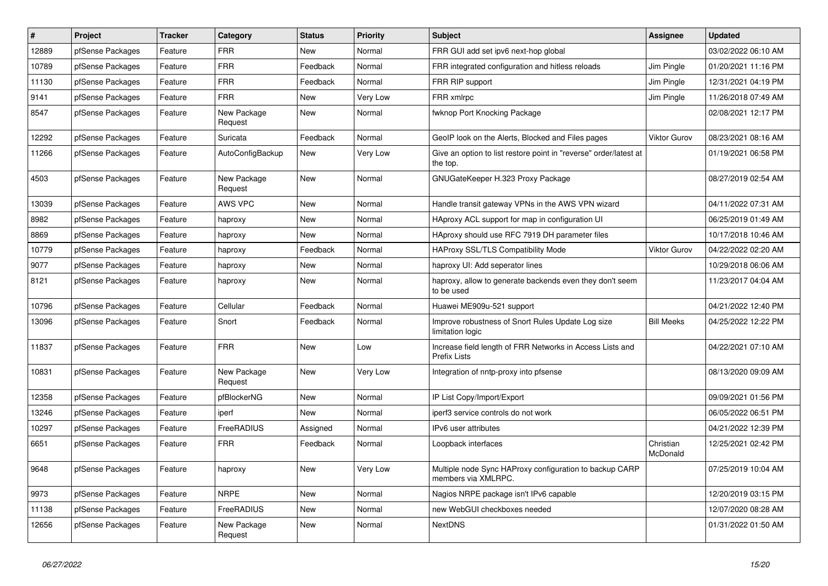| $\pmb{\#}$ | Project          | <b>Tracker</b> | Category               | <b>Status</b> | <b>Priority</b> | <b>Subject</b>                                                                   | <b>Assignee</b>       | <b>Updated</b>      |
|------------|------------------|----------------|------------------------|---------------|-----------------|----------------------------------------------------------------------------------|-----------------------|---------------------|
| 12889      | pfSense Packages | Feature        | <b>FRR</b>             | New           | Normal          | FRR GUI add set ipv6 next-hop global                                             |                       | 03/02/2022 06:10 AM |
| 10789      | pfSense Packages | Feature        | <b>FRR</b>             | Feedback      | Normal          | FRR integrated configuration and hitless reloads                                 | Jim Pingle            | 01/20/2021 11:16 PM |
| 11130      | pfSense Packages | Feature        | <b>FRR</b>             | Feedback      | Normal          | FRR RIP support                                                                  | Jim Pingle            | 12/31/2021 04:19 PM |
| 9141       | pfSense Packages | Feature        | <b>FRR</b>             | New           | Very Low        | FRR xmlrpc                                                                       | Jim Pingle            | 11/26/2018 07:49 AM |
| 8547       | pfSense Packages | Feature        | New Package<br>Request | New           | Normal          | fwknop Port Knocking Package                                                     |                       | 02/08/2021 12:17 PM |
| 12292      | pfSense Packages | Feature        | Suricata               | Feedback      | Normal          | GeoIP look on the Alerts, Blocked and Files pages                                | <b>Viktor Gurov</b>   | 08/23/2021 08:16 AM |
| 11266      | pfSense Packages | Feature        | AutoConfigBackup       | New           | Very Low        | Give an option to list restore point in "reverse" order/latest at<br>the top.    |                       | 01/19/2021 06:58 PM |
| 4503       | pfSense Packages | Feature        | New Package<br>Request | New           | Normal          | GNUGateKeeper H.323 Proxy Package                                                |                       | 08/27/2019 02:54 AM |
| 13039      | pfSense Packages | Feature        | <b>AWS VPC</b>         | New           | Normal          | Handle transit gateway VPNs in the AWS VPN wizard                                |                       | 04/11/2022 07:31 AM |
| 8982       | pfSense Packages | Feature        | haproxy                | New           | Normal          | HAproxy ACL support for map in configuration UI                                  |                       | 06/25/2019 01:49 AM |
| 8869       | pfSense Packages | Feature        | haproxy                | New           | Normal          | HAproxy should use RFC 7919 DH parameter files                                   |                       | 10/17/2018 10:46 AM |
| 10779      | pfSense Packages | Feature        | haproxy                | Feedback      | Normal          | HAProxy SSL/TLS Compatibility Mode                                               | <b>Viktor Gurov</b>   | 04/22/2022 02:20 AM |
| 9077       | pfSense Packages | Feature        | haproxy                | New           | Normal          | haproxy UI: Add seperator lines                                                  |                       | 10/29/2018 06:06 AM |
| 8121       | pfSense Packages | Feature        | haproxy                | New           | Normal          | haproxy, allow to generate backends even they don't seem<br>to be used           |                       | 11/23/2017 04:04 AM |
| 10796      | pfSense Packages | Feature        | Cellular               | Feedback      | Normal          | Huawei ME909u-521 support                                                        |                       | 04/21/2022 12:40 PM |
| 13096      | pfSense Packages | Feature        | Snort                  | Feedback      | Normal          | Improve robustness of Snort Rules Update Log size<br>limitation logic            | <b>Bill Meeks</b>     | 04/25/2022 12:22 PM |
| 11837      | pfSense Packages | Feature        | <b>FRR</b>             | <b>New</b>    | Low             | Increase field length of FRR Networks in Access Lists and<br><b>Prefix Lists</b> |                       | 04/22/2021 07:10 AM |
| 10831      | pfSense Packages | Feature        | New Package<br>Request | New           | Very Low        | Integration of nntp-proxy into pfsense                                           |                       | 08/13/2020 09:09 AM |
| 12358      | pfSense Packages | Feature        | pfBlockerNG            | New           | Normal          | IP List Copy/Import/Export                                                       |                       | 09/09/2021 01:56 PM |
| 13246      | pfSense Packages | Feature        | iperf                  | New           | Normal          | iperf3 service controls do not work                                              |                       | 06/05/2022 06:51 PM |
| 10297      | pfSense Packages | Feature        | <b>FreeRADIUS</b>      | Assigned      | Normal          | IPv6 user attributes                                                             |                       | 04/21/2022 12:39 PM |
| 6651       | pfSense Packages | Feature        | <b>FRR</b>             | Feedback      | Normal          | Loopback interfaces                                                              | Christian<br>McDonald | 12/25/2021 02:42 PM |
| 9648       | pfSense Packages | Feature        | haproxy                | New           | Very Low        | Multiple node Sync HAProxy configuration to backup CARP<br>members via XMLRPC.   |                       | 07/25/2019 10:04 AM |
| 9973       | pfSense Packages | Feature        | <b>NRPE</b>            | New           | Normal          | Nagios NRPE package isn't IPv6 capable                                           |                       | 12/20/2019 03:15 PM |
| 11138      | pfSense Packages | Feature        | FreeRADIUS             | <b>New</b>    | Normal          | new WebGUI checkboxes needed                                                     |                       | 12/07/2020 08:28 AM |
| 12656      | pfSense Packages | Feature        | New Package<br>Request | <b>New</b>    | Normal          | <b>NextDNS</b>                                                                   |                       | 01/31/2022 01:50 AM |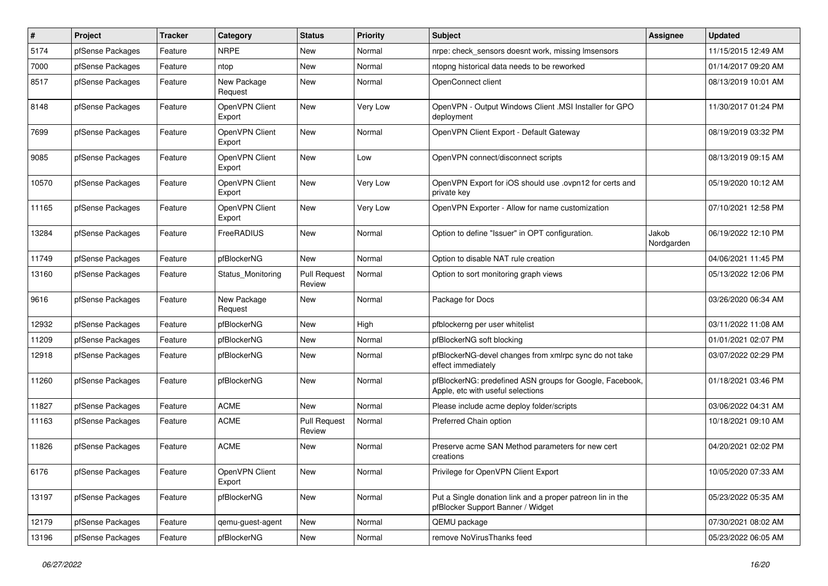| $\pmb{\#}$ | Project          | <b>Tracker</b> | Category                 | <b>Status</b>                 | <b>Priority</b> | <b>Subject</b>                                                                                  | <b>Assignee</b>     | <b>Updated</b>      |
|------------|------------------|----------------|--------------------------|-------------------------------|-----------------|-------------------------------------------------------------------------------------------------|---------------------|---------------------|
| 5174       | pfSense Packages | Feature        | <b>NRPE</b>              | New                           | Normal          | nrpe: check_sensors doesnt work, missing Imsensors                                              |                     | 11/15/2015 12:49 AM |
| 7000       | pfSense Packages | Feature        | ntop                     | <b>New</b>                    | Normal          | ntopng historical data needs to be reworked                                                     |                     | 01/14/2017 09:20 AM |
| 8517       | pfSense Packages | Feature        | New Package<br>Request   | <b>New</b>                    | Normal          | OpenConnect client                                                                              |                     | 08/13/2019 10:01 AM |
| 8148       | pfSense Packages | Feature        | OpenVPN Client<br>Export | <b>New</b>                    | Very Low        | OpenVPN - Output Windows Client .MSI Installer for GPO<br>deployment                            |                     | 11/30/2017 01:24 PM |
| 7699       | pfSense Packages | Feature        | OpenVPN Client<br>Export | <b>New</b>                    | Normal          | OpenVPN Client Export - Default Gateway                                                         |                     | 08/19/2019 03:32 PM |
| 9085       | pfSense Packages | Feature        | OpenVPN Client<br>Export | <b>New</b>                    | Low             | OpenVPN connect/disconnect scripts                                                              |                     | 08/13/2019 09:15 AM |
| 10570      | pfSense Packages | Feature        | OpenVPN Client<br>Export | <b>New</b>                    | Very Low        | OpenVPN Export for iOS should use .ovpn12 for certs and<br>private key                          |                     | 05/19/2020 10:12 AM |
| 11165      | pfSense Packages | Feature        | OpenVPN Client<br>Export | <b>New</b>                    | Very Low        | OpenVPN Exporter - Allow for name customization                                                 |                     | 07/10/2021 12:58 PM |
| 13284      | pfSense Packages | Feature        | FreeRADIUS               | <b>New</b>                    | Normal          | Option to define "Issuer" in OPT configuration.                                                 | Jakob<br>Nordgarden | 06/19/2022 12:10 PM |
| 11749      | pfSense Packages | Feature        | pfBlockerNG              | <b>New</b>                    | Normal          | Option to disable NAT rule creation                                                             |                     | 04/06/2021 11:45 PM |
| 13160      | pfSense Packages | Feature        | Status Monitoring        | <b>Pull Request</b><br>Review | Normal          | Option to sort monitoring graph views                                                           |                     | 05/13/2022 12:06 PM |
| 9616       | pfSense Packages | Feature        | New Package<br>Request   | <b>New</b>                    | Normal          | Package for Docs                                                                                |                     | 03/26/2020 06:34 AM |
| 12932      | pfSense Packages | Feature        | pfBlockerNG              | <b>New</b>                    | High            | pfblockerng per user whitelist                                                                  |                     | 03/11/2022 11:08 AM |
| 11209      | pfSense Packages | Feature        | pfBlockerNG              | New                           | Normal          | pfBlockerNG soft blocking                                                                       |                     | 01/01/2021 02:07 PM |
| 12918      | pfSense Packages | Feature        | pfBlockerNG              | <b>New</b>                    | Normal          | pfBlockerNG-devel changes from xmlrpc sync do not take<br>effect immediately                    |                     | 03/07/2022 02:29 PM |
| 11260      | pfSense Packages | Feature        | pfBlockerNG              | New                           | Normal          | pfBlockerNG: predefined ASN groups for Google, Facebook,<br>Apple, etc with useful selections   |                     | 01/18/2021 03:46 PM |
| 11827      | pfSense Packages | Feature        | <b>ACME</b>              | <b>New</b>                    | Normal          | Please include acme deploy folder/scripts                                                       |                     | 03/06/2022 04:31 AM |
| 11163      | pfSense Packages | Feature        | <b>ACME</b>              | <b>Pull Request</b><br>Review | Normal          | Preferred Chain option                                                                          |                     | 10/18/2021 09:10 AM |
| 11826      | pfSense Packages | Feature        | <b>ACME</b>              | <b>New</b>                    | Normal          | Preserve acme SAN Method parameters for new cert<br>creations                                   |                     | 04/20/2021 02:02 PM |
| 6176       | pfSense Packages | Feature        | OpenVPN Client<br>Export | New                           | Normal          | Privilege for OpenVPN Client Export                                                             |                     | 10/05/2020 07:33 AM |
| 13197      | pfSense Packages | Feature        | pfBlockerNG              | New                           | Normal          | Put a Single donation link and a proper patreon lin in the<br>pfBlocker Support Banner / Widget |                     | 05/23/2022 05:35 AM |
| 12179      | pfSense Packages | Feature        | qemu-guest-agent         | New                           | Normal          | QEMU package                                                                                    |                     | 07/30/2021 08:02 AM |
| 13196      | pfSense Packages | Feature        | pfBlockerNG              | New                           | Normal          | remove NoVirusThanks feed                                                                       |                     | 05/23/2022 06:05 AM |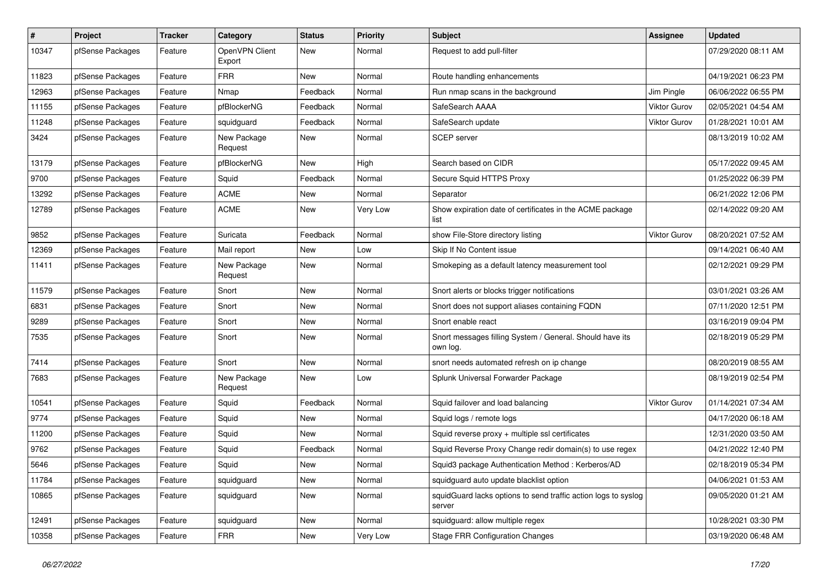| $\sharp$ | Project          | <b>Tracker</b> | Category                 | <b>Status</b> | <b>Priority</b> | <b>Subject</b>                                                           | <b>Assignee</b>     | <b>Updated</b>      |
|----------|------------------|----------------|--------------------------|---------------|-----------------|--------------------------------------------------------------------------|---------------------|---------------------|
| 10347    | pfSense Packages | Feature        | OpenVPN Client<br>Export | New           | Normal          | Request to add pull-filter                                               |                     | 07/29/2020 08:11 AM |
| 11823    | pfSense Packages | Feature        | <b>FRR</b>               | New           | Normal          | Route handling enhancements                                              |                     | 04/19/2021 06:23 PM |
| 12963    | pfSense Packages | Feature        | Nmap                     | Feedback      | Normal          | Run nmap scans in the background                                         | Jim Pingle          | 06/06/2022 06:55 PM |
| 11155    | pfSense Packages | Feature        | pfBlockerNG              | Feedback      | Normal          | SafeSearch AAAA                                                          | Viktor Gurov        | 02/05/2021 04:54 AM |
| 11248    | pfSense Packages | Feature        | squidguard               | Feedback      | Normal          | SafeSearch update                                                        | <b>Viktor Gurov</b> | 01/28/2021 10:01 AM |
| 3424     | pfSense Packages | Feature        | New Package<br>Request   | New           | Normal          | <b>SCEP</b> server                                                       |                     | 08/13/2019 10:02 AM |
| 13179    | pfSense Packages | Feature        | pfBlockerNG              | New           | High            | Search based on CIDR                                                     |                     | 05/17/2022 09:45 AM |
| 9700     | pfSense Packages | Feature        | Squid                    | Feedback      | Normal          | Secure Squid HTTPS Proxy                                                 |                     | 01/25/2022 06:39 PM |
| 13292    | pfSense Packages | Feature        | <b>ACME</b>              | New           | Normal          | Separator                                                                |                     | 06/21/2022 12:06 PM |
| 12789    | pfSense Packages | Feature        | <b>ACME</b>              | New           | Very Low        | Show expiration date of certificates in the ACME package<br>list         |                     | 02/14/2022 09:20 AM |
| 9852     | pfSense Packages | Feature        | Suricata                 | Feedback      | Normal          | show File-Store directory listing                                        | Viktor Gurov        | 08/20/2021 07:52 AM |
| 12369    | pfSense Packages | Feature        | Mail report              | New           | Low             | Skip If No Content issue                                                 |                     | 09/14/2021 06:40 AM |
| 11411    | pfSense Packages | Feature        | New Package<br>Request   | New           | Normal          | Smokeping as a default latency measurement tool                          |                     | 02/12/2021 09:29 PM |
| 11579    | pfSense Packages | Feature        | Snort                    | New           | Normal          | Snort alerts or blocks trigger notifications                             |                     | 03/01/2021 03:26 AM |
| 6831     | pfSense Packages | Feature        | Snort                    | New           | Normal          | Snort does not support aliases containing FQDN                           |                     | 07/11/2020 12:51 PM |
| 9289     | pfSense Packages | Feature        | Snort                    | New           | Normal          | Snort enable react                                                       |                     | 03/16/2019 09:04 PM |
| 7535     | pfSense Packages | Feature        | Snort                    | New           | Normal          | Snort messages filling System / General. Should have its<br>own log.     |                     | 02/18/2019 05:29 PM |
| 7414     | pfSense Packages | Feature        | Snort                    | <b>New</b>    | Normal          | snort needs automated refresh on ip change                               |                     | 08/20/2019 08:55 AM |
| 7683     | pfSense Packages | Feature        | New Package<br>Request   | New           | Low             | Splunk Universal Forwarder Package                                       |                     | 08/19/2019 02:54 PM |
| 10541    | pfSense Packages | Feature        | Squid                    | Feedback      | Normal          | Squid failover and load balancing                                        | <b>Viktor Gurov</b> | 01/14/2021 07:34 AM |
| 9774     | pfSense Packages | Feature        | Squid                    | New           | Normal          | Squid logs / remote logs                                                 |                     | 04/17/2020 06:18 AM |
| 11200    | pfSense Packages | Feature        | Squid                    | New           | Normal          | Squid reverse proxy + multiple ssl certificates                          |                     | 12/31/2020 03:50 AM |
| 9762     | pfSense Packages | Feature        | Squid                    | Feedback      | Normal          | Squid Reverse Proxy Change redir domain(s) to use regex                  |                     | 04/21/2022 12:40 PM |
| 5646     | pfSense Packages | Feature        | Squid                    | New           | Normal          | Squid3 package Authentication Method: Kerberos/AD                        |                     | 02/18/2019 05:34 PM |
| 11784    | pfSense Packages | Feature        | squidguard               | New           | Normal          | squidguard auto update blacklist option                                  |                     | 04/06/2021 01:53 AM |
| 10865    | pfSense Packages | Feature        | squidguard               | New           | Normal          | squidGuard lacks options to send traffic action logs to syslog<br>server |                     | 09/05/2020 01:21 AM |
| 12491    | pfSense Packages | Feature        | squidguard               | New           | Normal          | squidguard: allow multiple regex                                         |                     | 10/28/2021 03:30 PM |
| 10358    | pfSense Packages | Feature        | <b>FRR</b>               | New           | Very Low        | <b>Stage FRR Configuration Changes</b>                                   |                     | 03/19/2020 06:48 AM |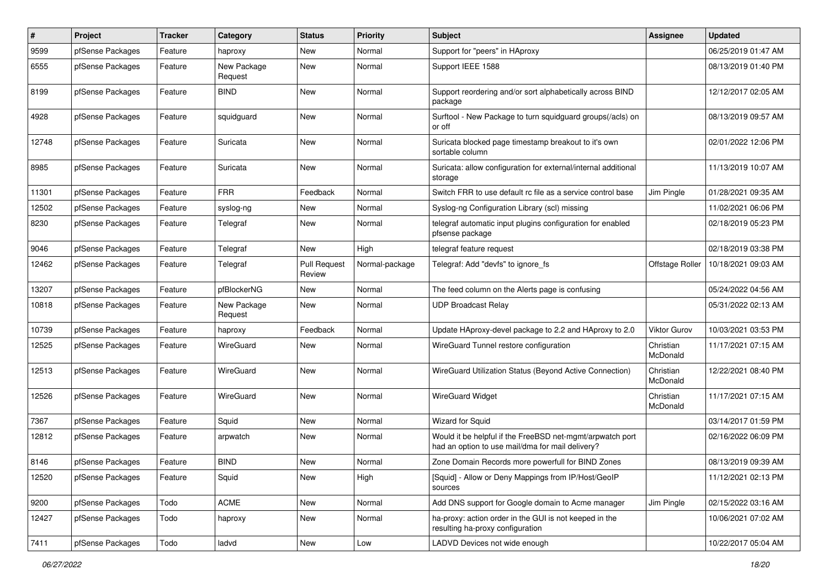| #     | Project          | <b>Tracker</b> | Category               | <b>Status</b>                 | <b>Priority</b> | <b>Subject</b>                                                                                                | Assignee              | <b>Updated</b>      |
|-------|------------------|----------------|------------------------|-------------------------------|-----------------|---------------------------------------------------------------------------------------------------------------|-----------------------|---------------------|
| 9599  | pfSense Packages | Feature        | haproxy                | New                           | Normal          | Support for "peers" in HAproxy                                                                                |                       | 06/25/2019 01:47 AM |
| 6555  | pfSense Packages | Feature        | New Package<br>Request | New                           | Normal          | Support IEEE 1588                                                                                             |                       | 08/13/2019 01:40 PM |
| 8199  | pfSense Packages | Feature        | <b>BIND</b>            | New                           | Normal          | Support reordering and/or sort alphabetically across BIND<br>package                                          |                       | 12/12/2017 02:05 AM |
| 4928  | pfSense Packages | Feature        | squidguard             | New                           | Normal          | Surftool - New Package to turn squidguard groups(/acls) on<br>or off                                          |                       | 08/13/2019 09:57 AM |
| 12748 | pfSense Packages | Feature        | Suricata               | New                           | Normal          | Suricata blocked page timestamp breakout to it's own<br>sortable column                                       |                       | 02/01/2022 12:06 PM |
| 8985  | pfSense Packages | Feature        | Suricata               | New                           | Normal          | Suricata: allow configuration for external/internal additional<br>storage                                     |                       | 11/13/2019 10:07 AM |
| 11301 | pfSense Packages | Feature        | <b>FRR</b>             | Feedback                      | Normal          | Switch FRR to use default rc file as a service control base                                                   | Jim Pingle            | 01/28/2021 09:35 AM |
| 12502 | pfSense Packages | Feature        | syslog-ng              | New                           | Normal          | Syslog-ng Configuration Library (scl) missing                                                                 |                       | 11/02/2021 06:06 PM |
| 8230  | pfSense Packages | Feature        | Telegraf               | New                           | Normal          | telegraf automatic input plugins configuration for enabled<br>pfsense package                                 |                       | 02/18/2019 05:23 PM |
| 9046  | pfSense Packages | Feature        | Telegraf               | New                           | High            | telegraf feature request                                                                                      |                       | 02/18/2019 03:38 PM |
| 12462 | pfSense Packages | Feature        | Telegraf               | <b>Pull Request</b><br>Review | Normal-package  | Telegraf: Add "devfs" to ignore fs                                                                            | Offstage Roller       | 10/18/2021 09:03 AM |
| 13207 | pfSense Packages | Feature        | pfBlockerNG            | New                           | Normal          | The feed column on the Alerts page is confusing                                                               |                       | 05/24/2022 04:56 AM |
| 10818 | pfSense Packages | Feature        | New Package<br>Request | New                           | Normal          | <b>UDP Broadcast Relay</b>                                                                                    |                       | 05/31/2022 02:13 AM |
| 10739 | pfSense Packages | Feature        | haproxy                | Feedback                      | Normal          | Update HAproxy-devel package to 2.2 and HAproxy to 2.0                                                        | Viktor Gurov          | 10/03/2021 03:53 PM |
| 12525 | pfSense Packages | Feature        | WireGuard              | New                           | Normal          | WireGuard Tunnel restore configuration                                                                        | Christian<br>McDonald | 11/17/2021 07:15 AM |
| 12513 | pfSense Packages | Feature        | WireGuard              | New                           | Normal          | WireGuard Utilization Status (Beyond Active Connection)                                                       | Christian<br>McDonald | 12/22/2021 08:40 PM |
| 12526 | pfSense Packages | Feature        | WireGuard              | New                           | Normal          | <b>WireGuard Widget</b>                                                                                       | Christian<br>McDonald | 11/17/2021 07:15 AM |
| 7367  | pfSense Packages | Feature        | Squid                  | New                           | Normal          | <b>Wizard for Squid</b>                                                                                       |                       | 03/14/2017 01:59 PM |
| 12812 | pfSense Packages | Feature        | arpwatch               | New                           | Normal          | Would it be helpful if the FreeBSD net-mgmt/arpwatch port<br>had an option to use mail/dma for mail delivery? |                       | 02/16/2022 06:09 PM |
| 8146  | pfSense Packages | Feature        | <b>BIND</b>            | New                           | Normal          | Zone Domain Records more powerfull for BIND Zones                                                             |                       | 08/13/2019 09:39 AM |
| 12520 | pfSense Packages | Feature        | Squid                  | New                           | High            | [Squid] - Allow or Deny Mappings from IP/Host/GeoIP<br>sources                                                |                       | 11/12/2021 02:13 PM |
| 9200  | pfSense Packages | Todo           | <b>ACME</b>            | New                           | Normal          | Add DNS support for Google domain to Acme manager                                                             | Jim Pingle            | 02/15/2022 03:16 AM |
| 12427 | pfSense Packages | Todo           | haproxy                | New                           | Normal          | ha-proxy: action order in the GUI is not keeped in the<br>resulting ha-proxy configuration                    |                       | 10/06/2021 07:02 AM |
| 7411  | pfSense Packages | Todo           | ladvd                  | New                           | Low             | LADVD Devices not wide enough                                                                                 |                       | 10/22/2017 05:04 AM |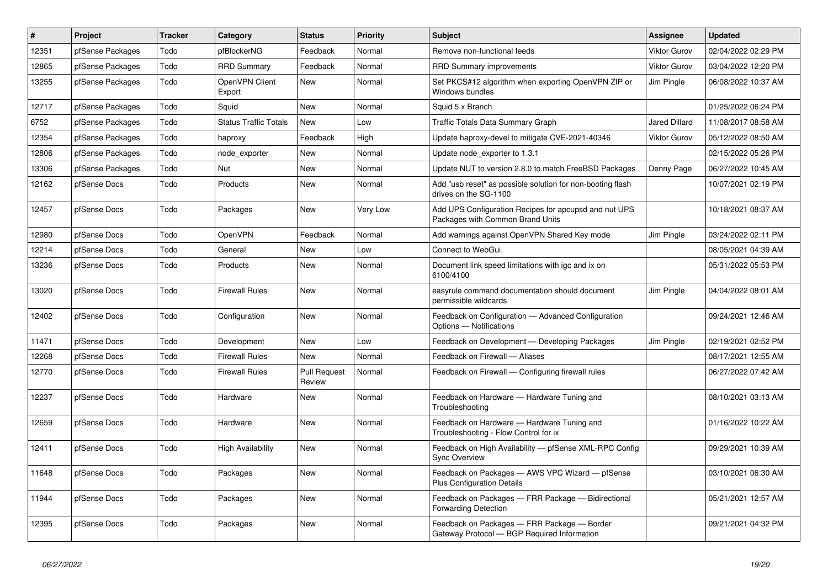| $\sharp$ | Project          | <b>Tracker</b> | Category                     | <b>Status</b>                 | <b>Priority</b> | <b>Subject</b>                                                                             | <b>Assignee</b>     | <b>Updated</b>      |
|----------|------------------|----------------|------------------------------|-------------------------------|-----------------|--------------------------------------------------------------------------------------------|---------------------|---------------------|
| 12351    | pfSense Packages | Todo           | pfBlockerNG                  | Feedback                      | Normal          | Remove non-functional feeds                                                                | <b>Viktor Gurov</b> | 02/04/2022 02:29 PM |
| 12865    | pfSense Packages | Todo           | <b>RRD Summary</b>           | Feedback                      | Normal          | <b>RRD Summary improvements</b>                                                            | <b>Viktor Gurov</b> | 03/04/2022 12:20 PM |
| 13255    | pfSense Packages | Todo           | OpenVPN Client<br>Export     | <b>New</b>                    | Normal          | Set PKCS#12 algorithm when exporting OpenVPN ZIP or<br>Windows bundles                     | Jim Pingle          | 06/08/2022 10:37 AM |
| 12717    | pfSense Packages | Todo           | Squid                        | New                           | Normal          | Squid 5.x Branch                                                                           |                     | 01/25/2022 06:24 PM |
| 6752     | pfSense Packages | Todo           | <b>Status Traffic Totals</b> | New                           | Low             | Traffic Totals Data Summary Graph                                                          | Jared Dillard       | 11/08/2017 08:58 AM |
| 12354    | pfSense Packages | Todo           | haproxy                      | Feedback                      | High            | Update haproxy-devel to mitigate CVE-2021-40346                                            | <b>Viktor Gurov</b> | 05/12/2022 08:50 AM |
| 12806    | pfSense Packages | Todo           | node exporter                | New                           | Normal          | Update node exporter to 1.3.1                                                              |                     | 02/15/2022 05:26 PM |
| 13306    | pfSense Packages | Todo           | <b>Nut</b>                   | New                           | Normal          | Update NUT to version 2.8.0 to match FreeBSD Packages                                      | Denny Page          | 06/27/2022 10:45 AM |
| 12162    | pfSense Docs     | Todo           | Products                     | New                           | Normal          | Add "usb reset" as possible solution for non-booting flash<br>drives on the SG-1100        |                     | 10/07/2021 02:19 PM |
| 12457    | pfSense Docs     | Todo           | Packages                     | <b>New</b>                    | Very Low        | Add UPS Configuration Recipes for apcupsd and nut UPS<br>Packages with Common Brand Units  |                     | 10/18/2021 08:37 AM |
| 12980    | pfSense Docs     | Todo           | OpenVPN                      | Feedback                      | Normal          | Add warnings against OpenVPN Shared Key mode                                               | Jim Pingle          | 03/24/2022 02:11 PM |
| 12214    | pfSense Docs     | Todo           | General                      | New                           | Low             | Connect to WebGui.                                                                         |                     | 08/05/2021 04:39 AM |
| 13236    | pfSense Docs     | Todo           | Products                     | New                           | Normal          | Document link speed limitations with igc and ix on<br>6100/4100                            |                     | 05/31/2022 05:53 PM |
| 13020    | pfSense Docs     | Todo           | <b>Firewall Rules</b>        | <b>New</b>                    | Normal          | easyrule command documentation should document<br>permissible wildcards                    | Jim Pingle          | 04/04/2022 08:01 AM |
| 12402    | pfSense Docs     | Todo           | Configuration                | New                           | Normal          | Feedback on Configuration - Advanced Configuration<br>Options - Notifications              |                     | 09/24/2021 12:46 AM |
| 11471    | pfSense Docs     | Todo           | Development                  | <b>New</b>                    | Low             | Feedback on Development - Developing Packages                                              | Jim Pingle          | 02/19/2021 02:52 PM |
| 12268    | pfSense Docs     | Todo           | <b>Firewall Rules</b>        | <b>New</b>                    | Normal          | Feedback on Firewall — Aliases                                                             |                     | 08/17/2021 12:55 AM |
| 12770    | pfSense Docs     | Todo           | <b>Firewall Rules</b>        | <b>Pull Request</b><br>Review | Normal          | Feedback on Firewall — Configuring firewall rules                                          |                     | 06/27/2022 07:42 AM |
| 12237    | pfSense Docs     | Todo           | Hardware                     | <b>New</b>                    | Normal          | Feedback on Hardware - Hardware Tuning and<br>Troubleshooting                              |                     | 08/10/2021 03:13 AM |
| 12659    | pfSense Docs     | Todo           | Hardware                     | New                           | Normal          | Feedback on Hardware - Hardware Tuning and<br>Troubleshooting - Flow Control for ix        |                     | 01/16/2022 10:22 AM |
| 12411    | pfSense Docs     | Todo           | <b>High Availability</b>     | New                           | Normal          | Feedback on High Availability - pfSense XML-RPC Config<br><b>Sync Overview</b>             |                     | 09/29/2021 10:39 AM |
| 11648    | pfSense Docs     | Todo           | Packages                     | <b>New</b>                    | Normal          | Feedback on Packages - AWS VPC Wizard - pfSense<br><b>Plus Configuration Details</b>       |                     | 03/10/2021 06:30 AM |
| 11944    | pfSense Docs     | Todo           | Packages                     | <b>New</b>                    | Normal          | Feedback on Packages - FRR Package - Bidirectional<br><b>Forwarding Detection</b>          |                     | 05/21/2021 12:57 AM |
| 12395    | pfSense Docs     | Todo           | Packages                     | New                           | Normal          | Feedback on Packages - FRR Package - Border<br>Gateway Protocol - BGP Required Information |                     | 09/21/2021 04:32 PM |